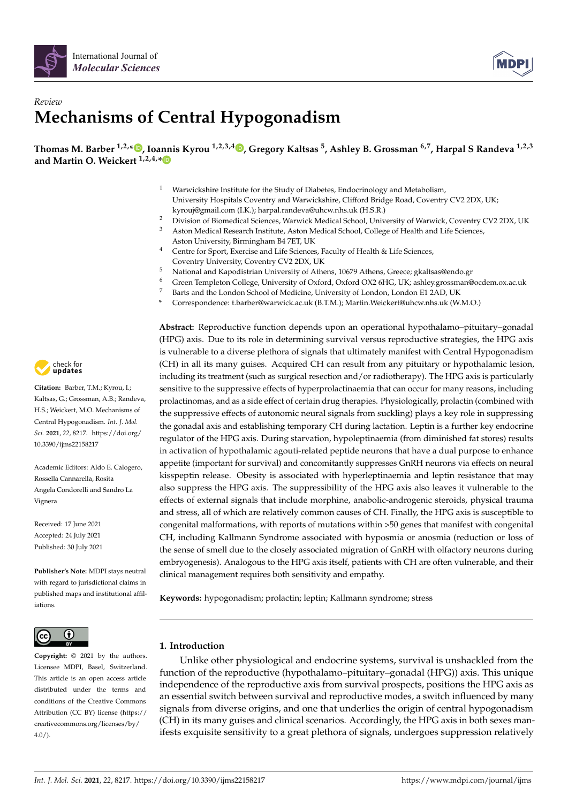



# *Review* **Mechanisms of Central Hypogonadism**

**Thomas M. Barber 1,2,[\\*](https://orcid.org/0000-0003-0689-9195) , Ioannis Kyrou 1,2,3,4 [,](https://orcid.org/0000-0002-6997-3439) Gregory Kaltsas <sup>5</sup> , Ashley B. Grossman 6,7, Harpal S Randeva 1,2,3 and Martin O. Weickert 1,2,4,[\\*](https://orcid.org/0000-0002-4070-8164)**

- <sup>1</sup> Warwickshire Institute for the Study of Diabetes, Endocrinology and Metabolism, University Hospitals Coventry and Warwickshire, Clifford Bridge Road, Coventry CV2 2DX, UK; kyrouj@gmail.com (I.K.); harpal.randeva@uhcw.nhs.uk (H.S.R.)
- <sup>2</sup> Division of Biomedical Sciences, Warwick Medical School, University of Warwick, Coventry CV2 2DX, UK<br><sup>3</sup> Aston Medical Research Institute, Aston Medical School, College of Health and Life Sciences
- <sup>3</sup> Aston Medical Research Institute, Aston Medical School, College of Health and Life Sciences, Aston University, Birmingham B4 7ET, UK
- <sup>4</sup> Centre for Sport, Exercise and Life Sciences, Faculty of Health & Life Sciences, Coventry University, Coventry CV2 2DX, UK
- <sup>5</sup> National and Kapodistrian University of Athens, 10679 Athens, Greece; gkaltsas@endo.gr
- <sup>6</sup> Green Templeton College, University of Oxford, Oxford OX2 6HG, UK; ashley.grossman@ocdem.ox.ac.uk
- Barts and the London School of Medicine, University of London, London E1 2AD, UK
- **\*** Correspondence: t.barber@warwick.ac.uk (B.T.M.); Martin.Weickert@uhcw.nhs.uk (W.M.O.)

**Abstract:** Reproductive function depends upon an operational hypothalamo–pituitary–gonadal (HPG) axis. Due to its role in determining survival versus reproductive strategies, the HPG axis is vulnerable to a diverse plethora of signals that ultimately manifest with Central Hypogonadism (CH) in all its many guises. Acquired CH can result from any pituitary or hypothalamic lesion, including its treatment (such as surgical resection and/or radiotherapy). The HPG axis is particularly sensitive to the suppressive effects of hyperprolactinaemia that can occur for many reasons, including prolactinomas, and as a side effect of certain drug therapies. Physiologically, prolactin (combined with the suppressive effects of autonomic neural signals from suckling) plays a key role in suppressing the gonadal axis and establishing temporary CH during lactation. Leptin is a further key endocrine regulator of the HPG axis. During starvation, hypoleptinaemia (from diminished fat stores) results in activation of hypothalamic agouti-related peptide neurons that have a dual purpose to enhance appetite (important for survival) and concomitantly suppresses GnRH neurons via effects on neural kisspeptin release. Obesity is associated with hyperleptinaemia and leptin resistance that may also suppress the HPG axis. The suppressibility of the HPG axis also leaves it vulnerable to the effects of external signals that include morphine, anabolic-androgenic steroids, physical trauma and stress, all of which are relatively common causes of CH. Finally, the HPG axis is susceptible to congenital malformations, with reports of mutations within >50 genes that manifest with congenital CH, including Kallmann Syndrome associated with hyposmia or anosmia (reduction or loss of the sense of smell due to the closely associated migration of GnRH with olfactory neurons during embryogenesis). Analogous to the HPG axis itself, patients with CH are often vulnerable, and their clinical management requires both sensitivity and empathy.

**Keywords:** hypogonadism; prolactin; leptin; Kallmann syndrome; stress

# **1. Introduction**

Unlike other physiological and endocrine systems, survival is unshackled from the function of the reproductive (hypothalamo–pituitary–gonadal (HPG)) axis. This unique independence of the reproductive axis from survival prospects, positions the HPG axis as an essential switch between survival and reproductive modes, a switch influenced by many signals from diverse origins, and one that underlies the origin of central hypogonadism (CH) in its many guises and clinical scenarios. Accordingly, the HPG axis in both sexes manifests exquisite sensitivity to a great plethora of signals, undergoes suppression relatively



**Citation:** Barber, T.M.; Kyrou, I.; Kaltsas, G.; Grossman, A.B.; Randeva, H.S.; Weickert, M.O. Mechanisms of Central Hypogonadism. *Int. J. Mol. Sci.* **2021**, *22*, 8217. [https://doi.org/](https://doi.org/10.3390/ijms22158217) [10.3390/ijms22158217](https://doi.org/10.3390/ijms22158217)

Academic Editors: Aldo E. Calogero, Rossella Cannarella, Rosita Angela Condorelli and Sandro La Vignera

Received: 17 June 2021 Accepted: 24 July 2021 Published: 30 July 2021

**Publisher's Note:** MDPI stays neutral with regard to jurisdictional claims in published maps and institutional affiliations.



**Copyright:** © 2021 by the authors. Licensee MDPI, Basel, Switzerland. This article is an open access article distributed under the terms and conditions of the Creative Commons Attribution (CC BY) license (https:/[/](https://creativecommons.org/licenses/by/4.0/) [creativecommons.org/licenses/by/](https://creativecommons.org/licenses/by/4.0/)  $4.0/$ ).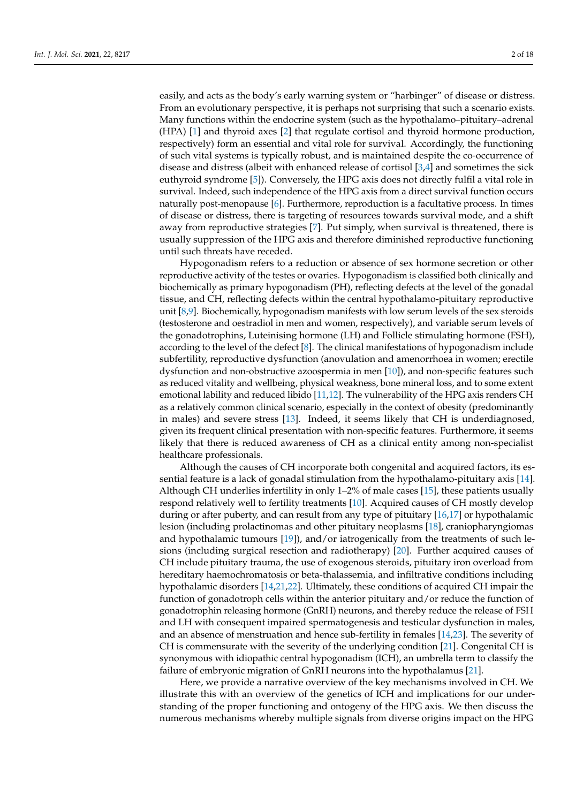easily, and acts as the body's early warning system or "harbinger" of disease or distress. From an evolutionary perspective, it is perhaps not surprising that such a scenario exists. Many functions within the endocrine system (such as the hypothalamo–pituitary–adrenal (HPA) [\[1\]](#page-12-0) and thyroid axes [\[2\]](#page-12-1) that regulate cortisol and thyroid hormone production, respectively) form an essential and vital role for survival. Accordingly, the functioning of such vital systems is typically robust, and is maintained despite the co-occurrence of disease and distress (albeit with enhanced release of cortisol [\[3](#page-12-2)[,4\]](#page-12-3) and sometimes the sick euthyroid syndrome [\[5\]](#page-13-0)). Conversely, the HPG axis does not directly fulfil a vital role in survival. Indeed, such independence of the HPG axis from a direct survival function occurs naturally post-menopause [\[6\]](#page-13-1). Furthermore, reproduction is a facultative process. In times of disease or distress, there is targeting of resources towards survival mode, and a shift away from reproductive strategies [\[7\]](#page-13-2). Put simply, when survival is threatened, there is usually suppression of the HPG axis and therefore diminished reproductive functioning until such threats have receded.

Hypogonadism refers to a reduction or absence of sex hormone secretion or other reproductive activity of the testes or ovaries. Hypogonadism is classified both clinically and biochemically as primary hypogonadism (PH), reflecting defects at the level of the gonadal tissue, and CH, reflecting defects within the central hypothalamo-pituitary reproductive unit [\[8,](#page-13-3)[9\]](#page-13-4). Biochemically, hypogonadism manifests with low serum levels of the sex steroids (testosterone and oestradiol in men and women, respectively), and variable serum levels of the gonadotrophins, Luteinising hormone (LH) and Follicle stimulating hormone (FSH), according to the level of the defect  $[8]$ . The clinical manifestations of hypogonadism include subfertility, reproductive dysfunction (anovulation and amenorrhoea in women; erectile dysfunction and non-obstructive azoospermia in men [\[10\]](#page-13-5)), and non-specific features such as reduced vitality and wellbeing, physical weakness, bone mineral loss, and to some extent emotional lability and reduced libido [\[11,](#page-13-6)[12\]](#page-13-7). The vulnerability of the HPG axis renders CH as a relatively common clinical scenario, especially in the context of obesity (predominantly in males) and severe stress [\[13\]](#page-13-8). Indeed, it seems likely that CH is underdiagnosed, given its frequent clinical presentation with non-specific features. Furthermore, it seems likely that there is reduced awareness of CH as a clinical entity among non-specialist healthcare professionals.

Although the causes of CH incorporate both congenital and acquired factors, its essential feature is a lack of gonadal stimulation from the hypothalamo-pituitary axis [\[14\]](#page-13-9). Although CH underlies infertility in only 1–2% of male cases [\[15\]](#page-13-10), these patients usually respond relatively well to fertility treatments [\[10\]](#page-13-5). Acquired causes of CH mostly develop during or after puberty, and can result from any type of pituitary [\[16](#page-13-11)[,17\]](#page-13-12) or hypothalamic lesion (including prolactinomas and other pituitary neoplasms [\[18\]](#page-13-13), craniopharyngiomas and hypothalamic tumours [\[19\]](#page-13-14)), and/or iatrogenically from the treatments of such lesions (including surgical resection and radiotherapy) [\[20\]](#page-13-15). Further acquired causes of CH include pituitary trauma, the use of exogenous steroids, pituitary iron overload from hereditary haemochromatosis or beta-thalassemia, and infiltrative conditions including hypothalamic disorders [\[14](#page-13-9)[,21,](#page-13-16)[22\]](#page-13-17). Ultimately, these conditions of acquired CH impair the function of gonadotroph cells within the anterior pituitary and/or reduce the function of gonadotrophin releasing hormone (GnRH) neurons, and thereby reduce the release of FSH and LH with consequent impaired spermatogenesis and testicular dysfunction in males, and an absence of menstruation and hence sub-fertility in females [\[14](#page-13-9)[,23\]](#page-13-18). The severity of CH is commensurate with the severity of the underlying condition [\[21\]](#page-13-16). Congenital CH is synonymous with idiopathic central hypogonadism (ICH), an umbrella term to classify the failure of embryonic migration of GnRH neurons into the hypothalamus [\[21\]](#page-13-16).

Here, we provide a narrative overview of the key mechanisms involved in CH. We illustrate this with an overview of the genetics of ICH and implications for our understanding of the proper functioning and ontogeny of the HPG axis. We then discuss the numerous mechanisms whereby multiple signals from diverse origins impact on the HPG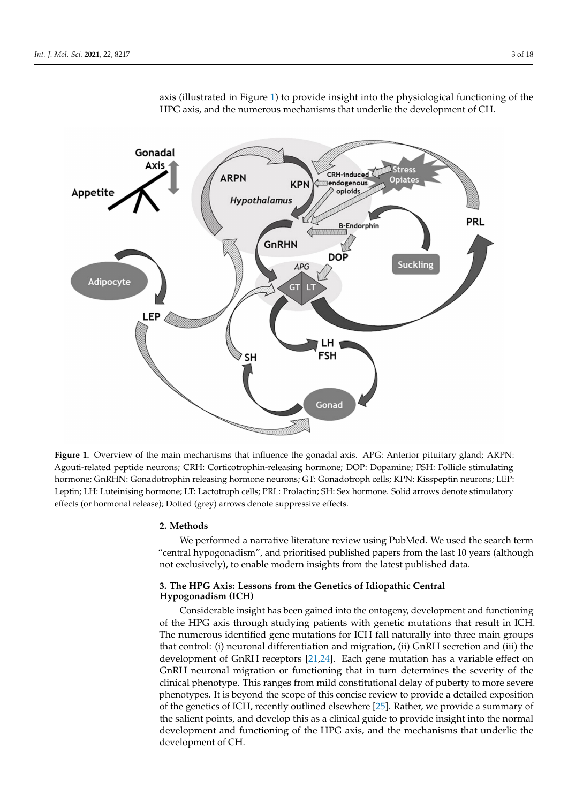<span id="page-2-0"></span>

axis (illustrated in Figure [1\)](#page-2-0) to provide insight into the physiological functioning of the HPG axis, and the numerous mechanisms that underlie the development of CH.

**Figure 1.** Overview of the main mechanisms that influence the gonadal axis. APG: Anterior pituitary gland; ARPN: Agouti-related peptide neurons; CRH: Corticotrophin-releasing hormone; DOP: Dopamine; FSH: Follicle stimulating hormone; GnRHN: Gonadotrophin releasing hormone neurons; GT: Gonadotroph cells; KPN: Kisspeptin neurons; LEP: Leptin; LH: Luteinising hormone; LT: Lactotroph cells; PRL: Prolactin; SH: Sex hormone. Solid arrows denote stimulatory effects (or hormonal release); Dotted (grey) arrows denote suppressive effects.

## **2. Methods**

We performed a narrative literature review using PubMed. We used the search term "central hypogonadism", and prioritised published papers from the last 10 years (although not exclusively), to enable modern insights from the latest published data.

# **3. The HPG Axis: Lessons from the Genetics of Idiopathic Central Hypogonadism (ICH)**

Considerable insight has been gained into the ontogeny, development and functioning of the HPG axis through studying patients with genetic mutations that result in ICH. The numerous identified gene mutations for ICH fall naturally into three main groups that control: (i) neuronal differentiation and migration, (ii) GnRH secretion and (iii) the development of GnRH receptors [\[21](#page-13-16)[,24\]](#page-13-19). Each gene mutation has a variable effect on GnRH neuronal migration or functioning that in turn determines the severity of the clinical phenotype. This ranges from mild constitutional delay of puberty to more severe phenotypes. It is beyond the scope of this concise review to provide a detailed exposition of the genetics of ICH, recently outlined elsewhere [\[25\]](#page-13-20). Rather, we provide a summary of the salient points, and develop this as a clinical guide to provide insight into the normal development and functioning of the HPG axis, and the mechanisms that underlie the development of CH.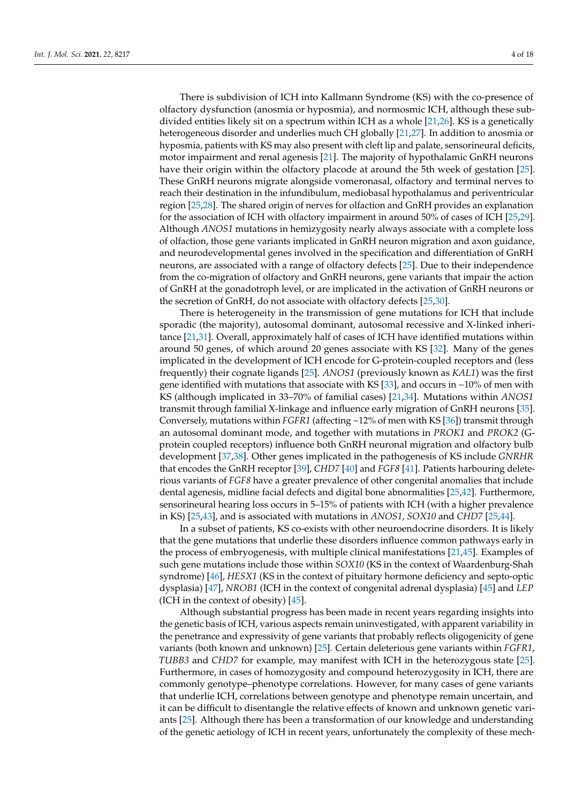There is subdivision of ICH into Kallmann Syndrome (KS) with the co-presence of olfactory dysfunction (anosmia or hyposmia), and normosmic ICH, although these subdivided entities likely sit on a spectrum within ICH as a whole  $[21,26]$  $[21,26]$ . KS is a genetically heterogeneous disorder and underlies much CH globally [\[21,](#page-13-16)[27\]](#page-13-22). In addition to anosmia or hyposmia, patients with KS may also present with cleft lip and palate, sensorineural deficits, motor impairment and renal agenesis [\[21\]](#page-13-16). The majority of hypothalamic GnRH neurons have their origin within the olfactory placode at around the 5th week of gestation [\[25\]](#page-13-20). These GnRH neurons migrate alongside vomeronasal, olfactory and terminal nerves to reach their destination in the infundibulum, mediobasal hypothalamus and periventricular region [\[25](#page-13-20)[,28\]](#page-13-23). The shared origin of nerves for olfaction and GnRH provides an explanation for the association of ICH with olfactory impairment in around 50% of cases of ICH [\[25](#page-13-20)[,29\]](#page-13-24). Although *ANOS1* mutations in hemizygosity nearly always associate with a complete loss of olfaction, those gene variants implicated in GnRH neuron migration and axon guidance, and neurodevelopmental genes involved in the specification and differentiation of GnRH neurons, are associated with a range of olfactory defects [\[25\]](#page-13-20). Due to their independence from the co-migration of olfactory and GnRH neurons, gene variants that impair the action of GnRH at the gonadotroph level, or are implicated in the activation of GnRH neurons or the secretion of GnRH, do not associate with olfactory defects [\[25,](#page-13-20)[30\]](#page-13-25).

There is heterogeneity in the transmission of gene mutations for ICH that include sporadic (the majority), autosomal dominant, autosomal recessive and X-linked inheritance [\[21,](#page-13-16)[31\]](#page-13-26). Overall, approximately half of cases of ICH have identified mutations within around 50 genes, of which around 20 genes associate with KS [\[32\]](#page-13-27). Many of the genes implicated in the development of ICH encode for G-protein-coupled receptors and (less frequently) their cognate ligands [\[25\]](#page-13-20). *ANOS1* (previously known as *KAL1*) was the first gene identified with mutations that associate with KS [\[33\]](#page-13-28), and occurs in  $\sim$ 10% of men with KS (although implicated in 33–70% of familial cases) [\[21,](#page-13-16)[34\]](#page-14-0). Mutations within *ANOS1* transmit through familial X-linkage and influence early migration of GnRH neurons [\[35\]](#page-14-1). Conversely, mutations within *FGFR1* (affecting ~12% of men with KS [\[36\]](#page-14-2)) transmit through an autosomal dominant mode, and together with mutations in *PROK1* and *PROK2* (Gprotein coupled receptors) influence both GnRH neuronal migration and olfactory bulb development [\[37](#page-14-3)[,38\]](#page-14-4). Other genes implicated in the pathogenesis of KS include *GNRHR* that encodes the GnRH receptor [\[39\]](#page-14-5), *CHD7* [\[40\]](#page-14-6) and *FGF8* [\[41\]](#page-14-7). Patients harbouring deleterious variants of *FGF8* have a greater prevalence of other congenital anomalies that include dental agenesis, midline facial defects and digital bone abnormalities [\[25,](#page-13-20)[42\]](#page-14-8). Furthermore, sensorineural hearing loss occurs in 5–15% of patients with ICH (with a higher prevalence in KS) [\[25](#page-13-20)[,43\]](#page-14-9), and is associated with mutations in *ANOS1*, *SOX10* and *CHD7* [\[25](#page-13-20)[,44\]](#page-14-10).

In a subset of patients, KS co-exists with other neuroendocrine disorders. It is likely that the gene mutations that underlie these disorders influence common pathways early in the process of embryogenesis, with multiple clinical manifestations [\[21](#page-13-16)[,45\]](#page-14-11). Examples of such gene mutations include those within *SOX10* (KS in the context of Waardenburg-Shah syndrome) [\[46\]](#page-14-12), *HESX1* (KS in the context of pituitary hormone deficiency and septo-optic dysplasia) [\[47\]](#page-14-13), *NROB1* (ICH in the context of congenital adrenal dysplasia) [\[45\]](#page-14-11) and *LEP* (ICH in the context of obesity)  $[45]$ .

Although substantial progress has been made in recent years regarding insights into the genetic basis of ICH, various aspects remain uninvestigated, with apparent variability in the penetrance and expressivity of gene variants that probably reflects oligogenicity of gene variants (both known and unknown) [\[25\]](#page-13-20). Certain deleterious gene variants within *FGFR1*, *TUBB3* and *CHD7* for example, may manifest with ICH in the heterozygous state [\[25\]](#page-13-20). Furthermore, in cases of homozygosity and compound heterozygosity in ICH, there are commonly genotype–phenotype correlations. However, for many cases of gene variants that underlie ICH, correlations between genotype and phenotype remain uncertain, and it can be difficult to disentangle the relative effects of known and unknown genetic variants [\[25\]](#page-13-20). Although there has been a transformation of our knowledge and understanding of the genetic aetiology of ICH in recent years, unfortunately the complexity of these mech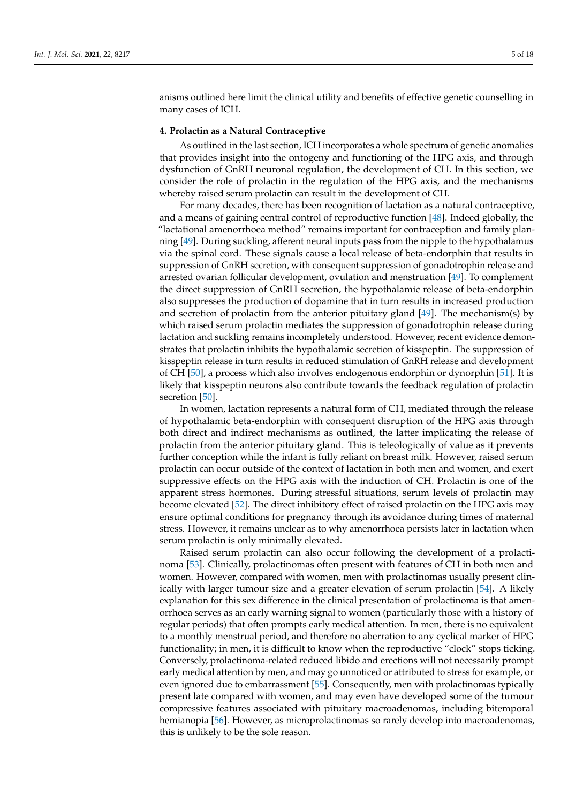anisms outlined here limit the clinical utility and benefits of effective genetic counselling in many cases of ICH.

# **4. Prolactin as a Natural Contraceptive**

As outlined in the last section, ICH incorporates a whole spectrum of genetic anomalies that provides insight into the ontogeny and functioning of the HPG axis, and through dysfunction of GnRH neuronal regulation, the development of CH. In this section, we consider the role of prolactin in the regulation of the HPG axis, and the mechanisms whereby raised serum prolactin can result in the development of CH.

For many decades, there has been recognition of lactation as a natural contraceptive, and a means of gaining central control of reproductive function [\[48\]](#page-14-14). Indeed globally, the "lactational amenorrhoea method" remains important for contraception and family planning [\[49\]](#page-14-15). During suckling, afferent neural inputs pass from the nipple to the hypothalamus via the spinal cord. These signals cause a local release of beta-endorphin that results in suppression of GnRH secretion, with consequent suppression of gonadotrophin release and arrested ovarian follicular development, ovulation and menstruation [\[49\]](#page-14-15). To complement the direct suppression of GnRH secretion, the hypothalamic release of beta-endorphin also suppresses the production of dopamine that in turn results in increased production and secretion of prolactin from the anterior pituitary gland [\[49\]](#page-14-15). The mechanism(s) by which raised serum prolactin mediates the suppression of gonadotrophin release during lactation and suckling remains incompletely understood. However, recent evidence demonstrates that prolactin inhibits the hypothalamic secretion of kisspeptin. The suppression of kisspeptin release in turn results in reduced stimulation of GnRH release and development of CH [\[50\]](#page-14-16), a process which also involves endogenous endorphin or dynorphin [\[51\]](#page-14-17). It is likely that kisspeptin neurons also contribute towards the feedback regulation of prolactin secretion [\[50\]](#page-14-16).

In women, lactation represents a natural form of CH, mediated through the release of hypothalamic beta-endorphin with consequent disruption of the HPG axis through both direct and indirect mechanisms as outlined, the latter implicating the release of prolactin from the anterior pituitary gland. This is teleologically of value as it prevents further conception while the infant is fully reliant on breast milk. However, raised serum prolactin can occur outside of the context of lactation in both men and women, and exert suppressive effects on the HPG axis with the induction of CH. Prolactin is one of the apparent stress hormones. During stressful situations, serum levels of prolactin may become elevated [\[52\]](#page-14-18). The direct inhibitory effect of raised prolactin on the HPG axis may ensure optimal conditions for pregnancy through its avoidance during times of maternal stress. However, it remains unclear as to why amenorrhoea persists later in lactation when serum prolactin is only minimally elevated.

Raised serum prolactin can also occur following the development of a prolactinoma [\[53\]](#page-14-19). Clinically, prolactinomas often present with features of CH in both men and women. However, compared with women, men with prolactinomas usually present clinically with larger tumour size and a greater elevation of serum prolactin [\[54\]](#page-14-20). A likely explanation for this sex difference in the clinical presentation of prolactinoma is that amenorrhoea serves as an early warning signal to women (particularly those with a history of regular periods) that often prompts early medical attention. In men, there is no equivalent to a monthly menstrual period, and therefore no aberration to any cyclical marker of HPG functionality; in men, it is difficult to know when the reproductive "clock" stops ticking. Conversely, prolactinoma-related reduced libido and erections will not necessarily prompt early medical attention by men, and may go unnoticed or attributed to stress for example, or even ignored due to embarrassment [\[55\]](#page-14-21). Consequently, men with prolactinomas typically present late compared with women, and may even have developed some of the tumour compressive features associated with pituitary macroadenomas, including bitemporal hemianopia [\[56\]](#page-14-22). However, as microprolactinomas so rarely develop into macroadenomas, this is unlikely to be the sole reason.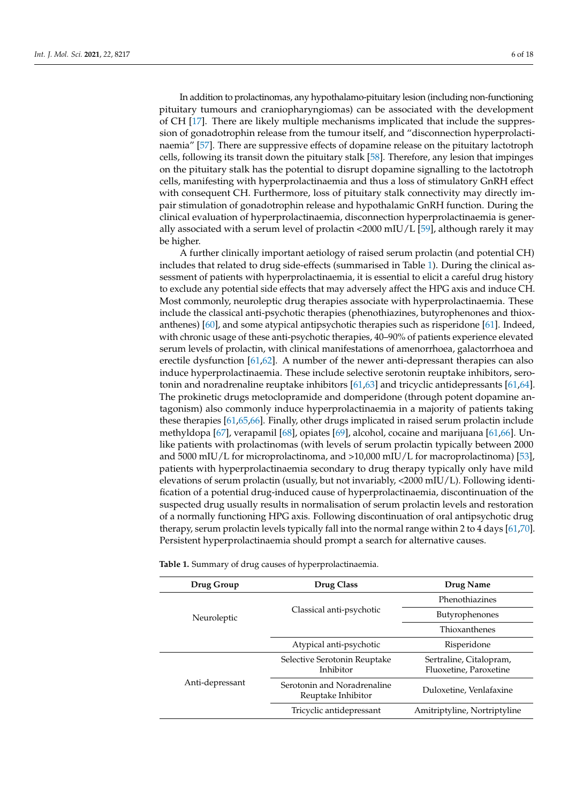In addition to prolactinomas, any hypothalamo-pituitary lesion (including non-functioning pituitary tumours and craniopharyngiomas) can be associated with the development of CH [\[17\]](#page-13-12). There are likely multiple mechanisms implicated that include the suppression of gonadotrophin release from the tumour itself, and "disconnection hyperprolactinaemia" [\[57\]](#page-14-23). There are suppressive effects of dopamine release on the pituitary lactotroph cells, following its transit down the pituitary stalk [\[58\]](#page-14-24). Therefore, any lesion that impinges on the pituitary stalk has the potential to disrupt dopamine signalling to the lactotroph cells, manifesting with hyperprolactinaemia and thus a loss of stimulatory GnRH effect with consequent CH. Furthermore, loss of pituitary stalk connectivity may directly impair stimulation of gonadotrophin release and hypothalamic GnRH function. During the clinical evaluation of hyperprolactinaemia, disconnection hyperprolactinaemia is generally associated with a serum level of prolactin  $\langle 2000 \text{ mI} U/L$  [\[59\]](#page-14-25), although rarely it may be higher.

A further clinically important aetiology of raised serum prolactin (and potential CH) includes that related to drug side-effects (summarised in Table [1\)](#page-6-0). During the clinical assessment of patients with hyperprolactinaemia, it is essential to elicit a careful drug history to exclude any potential side effects that may adversely affect the HPG axis and induce CH. Most commonly, neuroleptic drug therapies associate with hyperprolactinaemia. These include the classical anti-psychotic therapies (phenothiazines, butyrophenones and thioxanthenes) [\[60\]](#page-14-26), and some atypical antipsychotic therapies such as risperidone [\[61\]](#page-15-0). Indeed, with chronic usage of these anti-psychotic therapies, 40–90% of patients experience elevated serum levels of prolactin, with clinical manifestations of amenorrhoea, galactorrhoea and erectile dysfunction [\[61](#page-15-0)[,62\]](#page-15-1). A number of the newer anti-depressant therapies can also induce hyperprolactinaemia. These include selective serotonin reuptake inhibitors, serotonin and noradrenaline reuptake inhibitors [\[61](#page-15-0)[,63\]](#page-15-2) and tricyclic antidepressants [\[61,](#page-15-0)[64\]](#page-15-3). The prokinetic drugs metoclopramide and domperidone (through potent dopamine antagonism) also commonly induce hyperprolactinaemia in a majority of patients taking these therapies [\[61,](#page-15-0)[65](#page-15-4)[,66\]](#page-15-5). Finally, other drugs implicated in raised serum prolactin include methyldopa [\[67\]](#page-15-6), verapamil [\[68\]](#page-15-7), opiates [\[69\]](#page-15-8), alcohol, cocaine and marijuana [\[61,](#page-15-0)[66\]](#page-15-5). Unlike patients with prolactinomas (with levels of serum prolactin typically between 2000 and 5000 mIU/L for microprolactinoma, and >10,000 mIU/L for macroprolactinoma) [\[53\]](#page-14-19), patients with hyperprolactinaemia secondary to drug therapy typically only have mild elevations of serum prolactin (usually, but not invariably, <2000 mIU/L). Following identification of a potential drug-induced cause of hyperprolactinaemia, discontinuation of the suspected drug usually results in normalisation of serum prolactin levels and restoration of a normally functioning HPG axis. Following discontinuation of oral antipsychotic drug therapy, serum prolactin levels typically fall into the normal range within 2 to 4 days [\[61](#page-15-0)[,70\]](#page-15-9). Persistent hyperprolactinaemia should prompt a search for alternative causes.

**Table 1.** Summary of drug causes of hyperprolactinaemia.

| Drug Group      | Drug Class                                        | Drug Name                                         |
|-----------------|---------------------------------------------------|---------------------------------------------------|
| Neuroleptic     | Classical anti-psychotic                          | Phenothiazines                                    |
|                 |                                                   | Butyrophenones                                    |
|                 |                                                   | Thioxanthenes                                     |
|                 | Atypical anti-psychotic                           | Risperidone                                       |
| Anti-depressant | Selective Serotonin Reuptake<br>Inhibitor         | Sertraline, Citalopram,<br>Fluoxetine, Paroxetine |
|                 | Serotonin and Noradrenaline<br>Reuptake Inhibitor | Duloxetine, Venlafaxine                           |
|                 | Tricyclic antidepressant                          | Amitriptyline, Nortriptyline                      |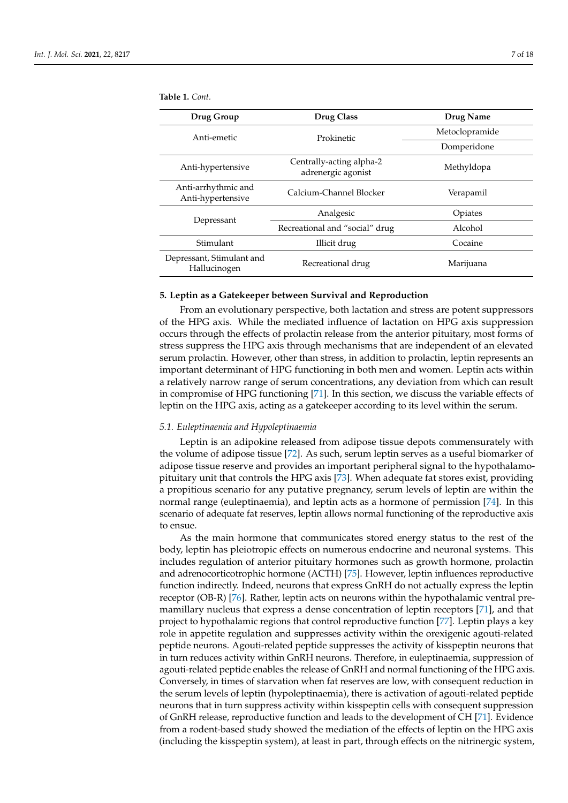<span id="page-6-0"></span>**Table 1.** *Cont.*

| Drug Group                                | <b>Drug Class</b>                              | Drug Name      |
|-------------------------------------------|------------------------------------------------|----------------|
| Anti-emetic                               | Prokinetic                                     | Metoclopramide |
|                                           |                                                | Domperidone    |
| Anti-hypertensive                         | Centrally-acting alpha-2<br>adrenergic agonist | Methyldopa     |
| Anti-arrhythmic and<br>Anti-hypertensive  | Calcium-Channel Blocker                        | Verapamil      |
| Depressant                                | Analgesic                                      | Opiates        |
|                                           | Recreational and "social" drug                 | Alcohol        |
| Stimulant                                 | Illicit drug                                   | Cocaine        |
| Depressant, Stimulant and<br>Hallucinogen | Recreational drug                              | Marijuana      |

#### **5. Leptin as a Gatekeeper between Survival and Reproduction**

From an evolutionary perspective, both lactation and stress are potent suppressors of the HPG axis. While the mediated influence of lactation on HPG axis suppression occurs through the effects of prolactin release from the anterior pituitary, most forms of stress suppress the HPG axis through mechanisms that are independent of an elevated serum prolactin. However, other than stress, in addition to prolactin, leptin represents an important determinant of HPG functioning in both men and women. Leptin acts within a relatively narrow range of serum concentrations, any deviation from which can result in compromise of HPG functioning [\[71\]](#page-15-10). In this section, we discuss the variable effects of leptin on the HPG axis, acting as a gatekeeper according to its level within the serum.

## *5.1. Euleptinaemia and Hypoleptinaemia*

Leptin is an adipokine released from adipose tissue depots commensurately with the volume of adipose tissue [\[72\]](#page-15-11). As such, serum leptin serves as a useful biomarker of adipose tissue reserve and provides an important peripheral signal to the hypothalamopituitary unit that controls the HPG axis [\[73\]](#page-15-12). When adequate fat stores exist, providing a propitious scenario for any putative pregnancy, serum levels of leptin are within the normal range (euleptinaemia), and leptin acts as a hormone of permission [\[74\]](#page-15-13). In this scenario of adequate fat reserves, leptin allows normal functioning of the reproductive axis to ensue.

As the main hormone that communicates stored energy status to the rest of the body, leptin has pleiotropic effects on numerous endocrine and neuronal systems. This includes regulation of anterior pituitary hormones such as growth hormone, prolactin and adrenocorticotrophic hormone (ACTH) [\[75\]](#page-15-14). However, leptin influences reproductive function indirectly. Indeed, neurons that express GnRH do not actually express the leptin receptor (OB-R) [\[76\]](#page-15-15). Rather, leptin acts on neurons within the hypothalamic ventral premamillary nucleus that express a dense concentration of leptin receptors [\[71\]](#page-15-10), and that project to hypothalamic regions that control reproductive function [\[77\]](#page-15-16). Leptin plays a key role in appetite regulation and suppresses activity within the orexigenic agouti-related peptide neurons. Agouti-related peptide suppresses the activity of kisspeptin neurons that in turn reduces activity within GnRH neurons. Therefore, in euleptinaemia, suppression of agouti-related peptide enables the release of GnRH and normal functioning of the HPG axis. Conversely, in times of starvation when fat reserves are low, with consequent reduction in the serum levels of leptin (hypoleptinaemia), there is activation of agouti-related peptide neurons that in turn suppress activity within kisspeptin cells with consequent suppression of GnRH release, reproductive function and leads to the development of CH [\[71\]](#page-15-10). Evidence from a rodent-based study showed the mediation of the effects of leptin on the HPG axis (including the kisspeptin system), at least in part, through effects on the nitrinergic system,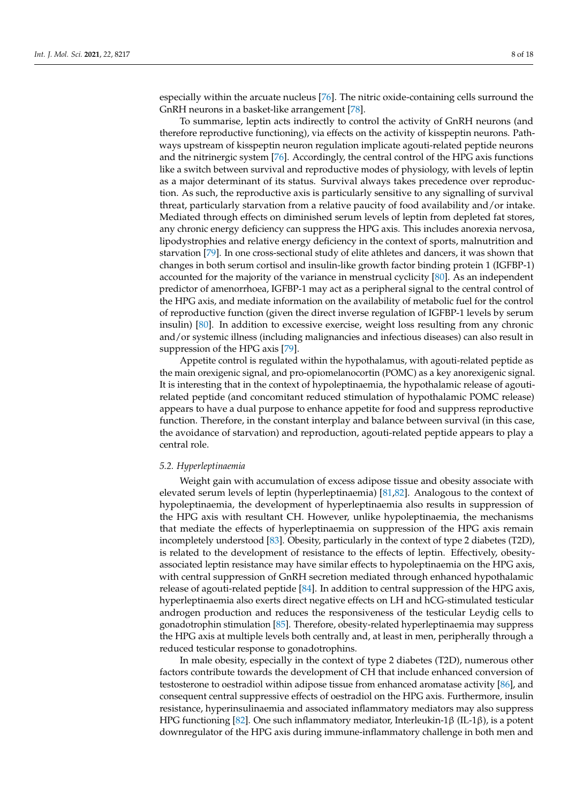especially within the arcuate nucleus [\[76\]](#page-15-15). The nitric oxide-containing cells surround the GnRH neurons in a basket-like arrangement [\[78\]](#page-15-17).

To summarise, leptin acts indirectly to control the activity of GnRH neurons (and therefore reproductive functioning), via effects on the activity of kisspeptin neurons. Pathways upstream of kisspeptin neuron regulation implicate agouti-related peptide neurons and the nitrinergic system [\[76\]](#page-15-15). Accordingly, the central control of the HPG axis functions like a switch between survival and reproductive modes of physiology, with levels of leptin as a major determinant of its status. Survival always takes precedence over reproduction. As such, the reproductive axis is particularly sensitive to any signalling of survival threat, particularly starvation from a relative paucity of food availability and/or intake. Mediated through effects on diminished serum levels of leptin from depleted fat stores, any chronic energy deficiency can suppress the HPG axis. This includes anorexia nervosa, lipodystrophies and relative energy deficiency in the context of sports, malnutrition and starvation [\[79\]](#page-15-18). In one cross-sectional study of elite athletes and dancers, it was shown that changes in both serum cortisol and insulin-like growth factor binding protein 1 (IGFBP-1) accounted for the majority of the variance in menstrual cyclicity [\[80\]](#page-15-19). As an independent predictor of amenorrhoea, IGFBP-1 may act as a peripheral signal to the central control of the HPG axis, and mediate information on the availability of metabolic fuel for the control of reproductive function (given the direct inverse regulation of IGFBP-1 levels by serum insulin) [\[80\]](#page-15-19). In addition to excessive exercise, weight loss resulting from any chronic and/or systemic illness (including malignancies and infectious diseases) can also result in suppression of the HPG axis [\[79\]](#page-15-18).

Appetite control is regulated within the hypothalamus, with agouti-related peptide as the main orexigenic signal, and pro-opiomelanocortin (POMC) as a key anorexigenic signal. It is interesting that in the context of hypoleptinaemia, the hypothalamic release of agoutirelated peptide (and concomitant reduced stimulation of hypothalamic POMC release) appears to have a dual purpose to enhance appetite for food and suppress reproductive function. Therefore, in the constant interplay and balance between survival (in this case, the avoidance of starvation) and reproduction, agouti-related peptide appears to play a central role.

## *5.2. Hyperleptinaemia*

Weight gain with accumulation of excess adipose tissue and obesity associate with elevated serum levels of leptin (hyperleptinaemia) [\[81](#page-15-20)[,82\]](#page-15-21). Analogous to the context of hypoleptinaemia, the development of hyperleptinaemia also results in suppression of the HPG axis with resultant CH. However, unlike hypoleptinaemia, the mechanisms that mediate the effects of hyperleptinaemia on suppression of the HPG axis remain incompletely understood [\[83\]](#page-15-22). Obesity, particularly in the context of type 2 diabetes (T2D), is related to the development of resistance to the effects of leptin. Effectively, obesityassociated leptin resistance may have similar effects to hypoleptinaemia on the HPG axis, with central suppression of GnRH secretion mediated through enhanced hypothalamic release of agouti-related peptide [\[84\]](#page-15-23). In addition to central suppression of the HPG axis, hyperleptinaemia also exerts direct negative effects on LH and hCG-stimulated testicular androgen production and reduces the responsiveness of the testicular Leydig cells to gonadotrophin stimulation [\[85\]](#page-15-24). Therefore, obesity-related hyperleptinaemia may suppress the HPG axis at multiple levels both centrally and, at least in men, peripherally through a reduced testicular response to gonadotrophins.

In male obesity, especially in the context of type 2 diabetes (T2D), numerous other factors contribute towards the development of CH that include enhanced conversion of testosterone to oestradiol within adipose tissue from enhanced aromatase activity [\[86\]](#page-15-25), and consequent central suppressive effects of oestradiol on the HPG axis. Furthermore, insulin resistance, hyperinsulinaemia and associated inflammatory mediators may also suppress HPG functioning [\[82\]](#page-15-21). One such inflammatory mediator, Interleukin-1β (IL-1β), is a potent downregulator of the HPG axis during immune-inflammatory challenge in both men and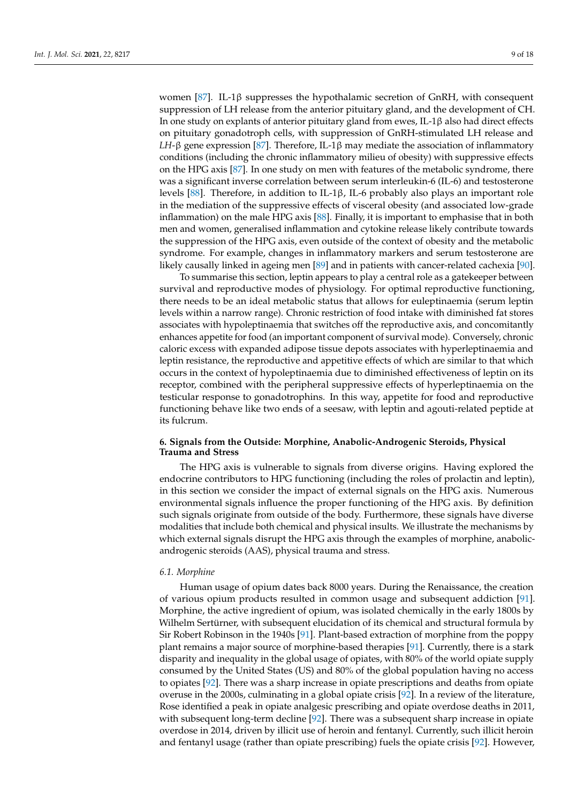women [\[87\]](#page-15-26). IL-1β suppresses the hypothalamic secretion of GnRH, with consequent suppression of LH release from the anterior pituitary gland, and the development of CH. In one study on explants of anterior pituitary gland from ewes, IL-1β also had direct effects on pituitary gonadotroph cells, with suppression of GnRH-stimulated LH release and *LH*-β gene expression [\[87\]](#page-15-26). Therefore, IL-1β may mediate the association of inflammatory conditions (including the chronic inflammatory milieu of obesity) with suppressive effects on the HPG axis  $[87]$ . In one study on men with features of the metabolic syndrome, there was a significant inverse correlation between serum interleukin-6 (IL-6) and testosterone levels [\[88\]](#page-15-27). Therefore, in addition to IL-1β, IL-6 probably also plays an important role in the mediation of the suppressive effects of visceral obesity (and associated low-grade inflammation) on the male HPG axis [\[88\]](#page-15-27). Finally, it is important to emphasise that in both men and women, generalised inflammation and cytokine release likely contribute towards the suppression of the HPG axis, even outside of the context of obesity and the metabolic syndrome. For example, changes in inflammatory markers and serum testosterone are likely causally linked in ageing men [\[89\]](#page-16-0) and in patients with cancer-related cachexia [\[90\]](#page-16-1).

To summarise this section, leptin appears to play a central role as a gatekeeper between survival and reproductive modes of physiology. For optimal reproductive functioning, there needs to be an ideal metabolic status that allows for euleptinaemia (serum leptin levels within a narrow range). Chronic restriction of food intake with diminished fat stores associates with hypoleptinaemia that switches off the reproductive axis, and concomitantly enhances appetite for food (an important component of survival mode). Conversely, chronic caloric excess with expanded adipose tissue depots associates with hyperleptinaemia and leptin resistance, the reproductive and appetitive effects of which are similar to that which occurs in the context of hypoleptinaemia due to diminished effectiveness of leptin on its receptor, combined with the peripheral suppressive effects of hyperleptinaemia on the testicular response to gonadotrophins. In this way, appetite for food and reproductive functioning behave like two ends of a seesaw, with leptin and agouti-related peptide at its fulcrum.

# **6. Signals from the Outside: Morphine, Anabolic-Androgenic Steroids, Physical Trauma and Stress**

The HPG axis is vulnerable to signals from diverse origins. Having explored the endocrine contributors to HPG functioning (including the roles of prolactin and leptin), in this section we consider the impact of external signals on the HPG axis. Numerous environmental signals influence the proper functioning of the HPG axis. By definition such signals originate from outside of the body. Furthermore, these signals have diverse modalities that include both chemical and physical insults. We illustrate the mechanisms by which external signals disrupt the HPG axis through the examples of morphine, anabolicandrogenic steroids (AAS), physical trauma and stress.

### *6.1. Morphine*

Human usage of opium dates back 8000 years. During the Renaissance, the creation of various opium products resulted in common usage and subsequent addiction [\[91\]](#page-16-2). Morphine, the active ingredient of opium, was isolated chemically in the early 1800s by Wilhelm Sertürner, with subsequent elucidation of its chemical and structural formula by Sir Robert Robinson in the 1940s [\[91\]](#page-16-2). Plant-based extraction of morphine from the poppy plant remains a major source of morphine-based therapies [\[91\]](#page-16-2). Currently, there is a stark disparity and inequality in the global usage of opiates, with 80% of the world opiate supply consumed by the United States (US) and 80% of the global population having no access to opiates [\[92\]](#page-16-3). There was a sharp increase in opiate prescriptions and deaths from opiate overuse in the 2000s, culminating in a global opiate crisis [\[92\]](#page-16-3). In a review of the literature, Rose identified a peak in opiate analgesic prescribing and opiate overdose deaths in 2011, with subsequent long-term decline [\[92\]](#page-16-3). There was a subsequent sharp increase in opiate overdose in 2014, driven by illicit use of heroin and fentanyl. Currently, such illicit heroin and fentanyl usage (rather than opiate prescribing) fuels the opiate crisis [\[92\]](#page-16-3). However,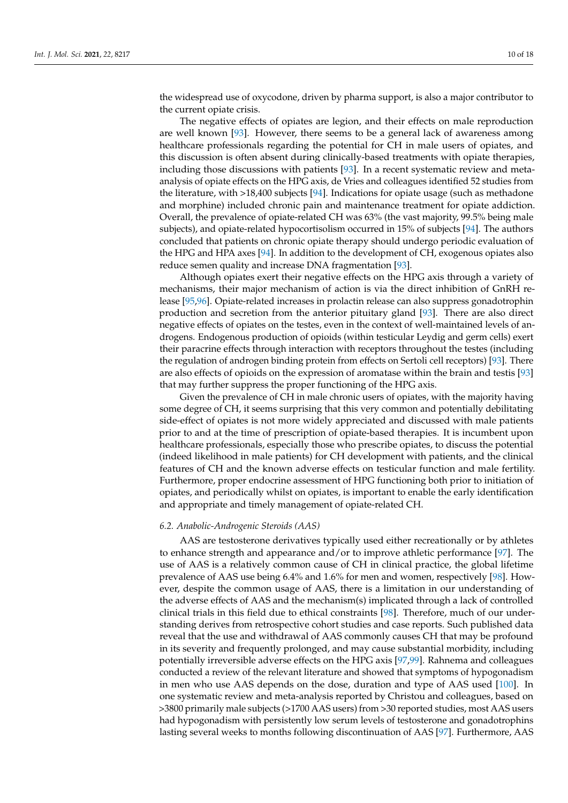the widespread use of oxycodone, driven by pharma support, is also a major contributor to the current opiate crisis.

The negative effects of opiates are legion, and their effects on male reproduction are well known [\[93\]](#page-16-4). However, there seems to be a general lack of awareness among healthcare professionals regarding the potential for CH in male users of opiates, and this discussion is often absent during clinically-based treatments with opiate therapies, including those discussions with patients [\[93\]](#page-16-4). In a recent systematic review and metaanalysis of opiate effects on the HPG axis, de Vries and colleagues identified 52 studies from the literature, with >18,400 subjects [\[94\]](#page-16-5). Indications for opiate usage (such as methadone and morphine) included chronic pain and maintenance treatment for opiate addiction. Overall, the prevalence of opiate-related CH was 63% (the vast majority, 99.5% being male subjects), and opiate-related hypocortisolism occurred in 15% of subjects [\[94\]](#page-16-5). The authors concluded that patients on chronic opiate therapy should undergo periodic evaluation of the HPG and HPA axes [\[94\]](#page-16-5). In addition to the development of CH, exogenous opiates also reduce semen quality and increase DNA fragmentation [\[93\]](#page-16-4).

Although opiates exert their negative effects on the HPG axis through a variety of mechanisms, their major mechanism of action is via the direct inhibition of GnRH release [\[95,](#page-16-6)[96\]](#page-16-7). Opiate-related increases in prolactin release can also suppress gonadotrophin production and secretion from the anterior pituitary gland [\[93\]](#page-16-4). There are also direct negative effects of opiates on the testes, even in the context of well-maintained levels of androgens. Endogenous production of opioids (within testicular Leydig and germ cells) exert their paracrine effects through interaction with receptors throughout the testes (including the regulation of androgen binding protein from effects on Sertoli cell receptors) [\[93\]](#page-16-4). There are also effects of opioids on the expression of aromatase within the brain and testis [\[93\]](#page-16-4) that may further suppress the proper functioning of the HPG axis.

Given the prevalence of CH in male chronic users of opiates, with the majority having some degree of CH, it seems surprising that this very common and potentially debilitating side-effect of opiates is not more widely appreciated and discussed with male patients prior to and at the time of prescription of opiate-based therapies. It is incumbent upon healthcare professionals, especially those who prescribe opiates, to discuss the potential (indeed likelihood in male patients) for CH development with patients, and the clinical features of CH and the known adverse effects on testicular function and male fertility. Furthermore, proper endocrine assessment of HPG functioning both prior to initiation of opiates, and periodically whilst on opiates, is important to enable the early identification and appropriate and timely management of opiate-related CH.

## *6.2. Anabolic-Androgenic Steroids (AAS)*

AAS are testosterone derivatives typically used either recreationally or by athletes to enhance strength and appearance and/or to improve athletic performance [\[97\]](#page-16-8). The use of AAS is a relatively common cause of CH in clinical practice, the global lifetime prevalence of AAS use being 6.4% and 1.6% for men and women, respectively [\[98\]](#page-16-9). However, despite the common usage of AAS, there is a limitation in our understanding of the adverse effects of AAS and the mechanism(s) implicated through a lack of controlled clinical trials in this field due to ethical constraints [\[98\]](#page-16-9). Therefore, much of our understanding derives from retrospective cohort studies and case reports. Such published data reveal that the use and withdrawal of AAS commonly causes CH that may be profound in its severity and frequently prolonged, and may cause substantial morbidity, including potentially irreversible adverse effects on the HPG axis [\[97,](#page-16-8)[99\]](#page-16-10). Rahnema and colleagues conducted a review of the relevant literature and showed that symptoms of hypogonadism in men who use AAS depends on the dose, duration and type of AAS used [\[100\]](#page-16-11). In one systematic review and meta-analysis reported by Christou and colleagues, based on >3800 primarily male subjects (>1700 AAS users) from >30 reported studies, most AAS users had hypogonadism with persistently low serum levels of testosterone and gonadotrophins lasting several weeks to months following discontinuation of AAS [\[97\]](#page-16-8). Furthermore, AAS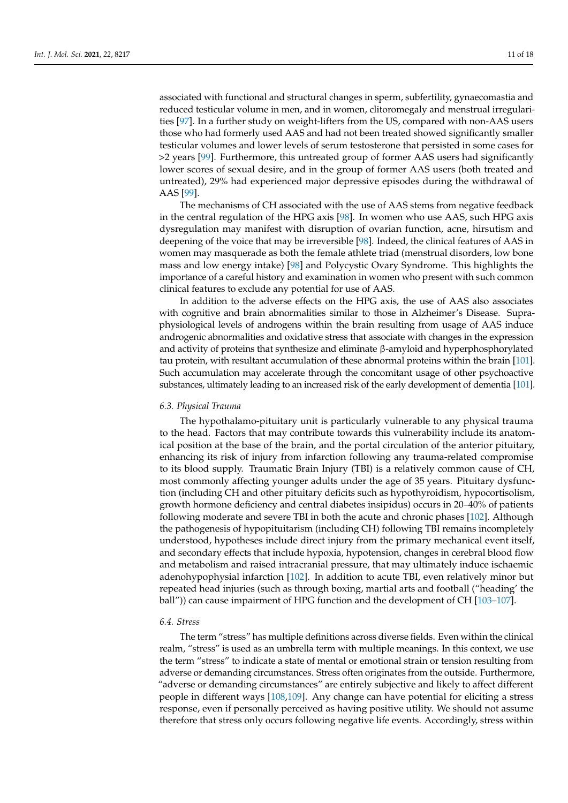associated with functional and structural changes in sperm, subfertility, gynaecomastia and reduced testicular volume in men, and in women, clitoromegaly and menstrual irregularities [\[97\]](#page-16-8). In a further study on weight-lifters from the US, compared with non-AAS users those who had formerly used AAS and had not been treated showed significantly smaller testicular volumes and lower levels of serum testosterone that persisted in some cases for >2 years [\[99\]](#page-16-10). Furthermore, this untreated group of former AAS users had significantly lower scores of sexual desire, and in the group of former AAS users (both treated and untreated), 29% had experienced major depressive episodes during the withdrawal of AAS [\[99\]](#page-16-10).

The mechanisms of CH associated with the use of AAS stems from negative feedback in the central regulation of the HPG axis [\[98\]](#page-16-9). In women who use AAS, such HPG axis dysregulation may manifest with disruption of ovarian function, acne, hirsutism and deepening of the voice that may be irreversible [\[98\]](#page-16-9). Indeed, the clinical features of AAS in women may masquerade as both the female athlete triad (menstrual disorders, low bone mass and low energy intake) [\[98\]](#page-16-9) and Polycystic Ovary Syndrome. This highlights the importance of a careful history and examination in women who present with such common clinical features to exclude any potential for use of AAS.

In addition to the adverse effects on the HPG axis, the use of AAS also associates with cognitive and brain abnormalities similar to those in Alzheimer's Disease. Supraphysiological levels of androgens within the brain resulting from usage of AAS induce androgenic abnormalities and oxidative stress that associate with changes in the expression and activity of proteins that synthesize and eliminate β-amyloid and hyperphosphorylated tau protein, with resultant accumulation of these abnormal proteins within the brain [\[101\]](#page-16-12). Such accumulation may accelerate through the concomitant usage of other psychoactive substances, ultimately leading to an increased risk of the early development of dementia [\[101\]](#page-16-12).

### *6.3. Physical Trauma*

The hypothalamo-pituitary unit is particularly vulnerable to any physical trauma to the head. Factors that may contribute towards this vulnerability include its anatomical position at the base of the brain, and the portal circulation of the anterior pituitary, enhancing its risk of injury from infarction following any trauma-related compromise to its blood supply. Traumatic Brain Injury (TBI) is a relatively common cause of CH, most commonly affecting younger adults under the age of 35 years. Pituitary dysfunction (including CH and other pituitary deficits such as hypothyroidism, hypocortisolism, growth hormone deficiency and central diabetes insipidus) occurs in 20–40% of patients following moderate and severe TBI in both the acute and chronic phases [\[102\]](#page-16-13). Although the pathogenesis of hypopituitarism (including CH) following TBI remains incompletely understood, hypotheses include direct injury from the primary mechanical event itself, and secondary effects that include hypoxia, hypotension, changes in cerebral blood flow and metabolism and raised intracranial pressure, that may ultimately induce ischaemic adenohypophysial infarction [\[102\]](#page-16-13). In addition to acute TBI, even relatively minor but repeated head injuries (such as through boxing, martial arts and football ("heading' the ball")) can cause impairment of HPG function and the development of CH [\[103–](#page-16-14)[107\]](#page-16-15).

## *6.4. Stress*

The term "stress" has multiple definitions across diverse fields. Even within the clinical realm, "stress" is used as an umbrella term with multiple meanings. In this context, we use the term "stress" to indicate a state of mental or emotional strain or tension resulting from adverse or demanding circumstances. Stress often originates from the outside. Furthermore, "adverse or demanding circumstances" are entirely subjective and likely to affect different people in different ways [\[108](#page-16-16)[,109\]](#page-16-17). Any change can have potential for eliciting a stress response, even if personally perceived as having positive utility. We should not assume therefore that stress only occurs following negative life events. Accordingly, stress within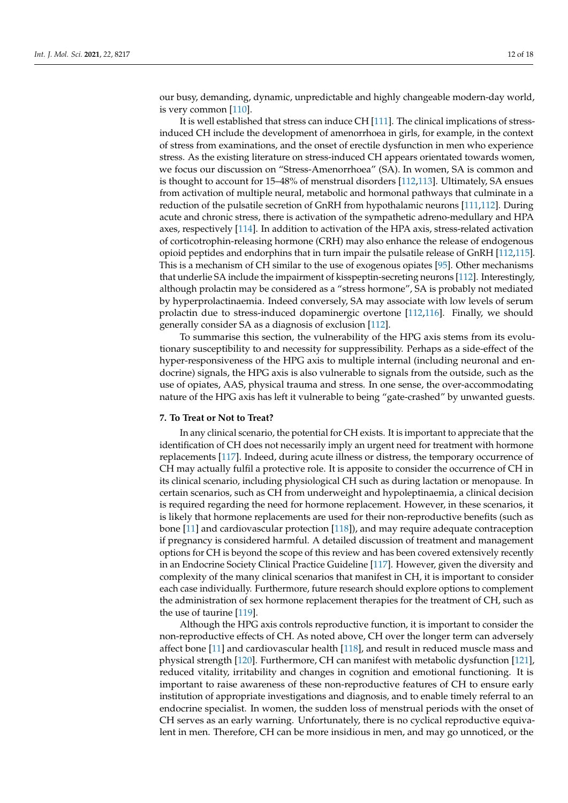our busy, demanding, dynamic, unpredictable and highly changeable modern-day world, is very common [\[110\]](#page-16-18).

It is well established that stress can induce CH [\[111\]](#page-16-19). The clinical implications of stressinduced CH include the development of amenorrhoea in girls, for example, in the context of stress from examinations, and the onset of erectile dysfunction in men who experience stress. As the existing literature on stress-induced CH appears orientated towards women, we focus our discussion on "Stress-Amenorrhoea" (SA). In women, SA is common and is thought to account for 15–48% of menstrual disorders [\[112](#page-16-20)[,113\]](#page-16-21). Ultimately, SA ensues from activation of multiple neural, metabolic and hormonal pathways that culminate in a reduction of the pulsatile secretion of GnRH from hypothalamic neurons [\[111](#page-16-19)[,112\]](#page-16-20). During acute and chronic stress, there is activation of the sympathetic adreno-medullary and HPA axes, respectively [\[114\]](#page-16-22). In addition to activation of the HPA axis, stress-related activation of corticotrophin-releasing hormone (CRH) may also enhance the release of endogenous opioid peptides and endorphins that in turn impair the pulsatile release of GnRH [\[112](#page-16-20)[,115\]](#page-17-0). This is a mechanism of CH similar to the use of exogenous opiates [\[95\]](#page-16-6). Other mechanisms that underlie SA include the impairment of kisspeptin-secreting neurons [\[112\]](#page-16-20). Interestingly, although prolactin may be considered as a "stress hormone", SA is probably not mediated by hyperprolactinaemia. Indeed conversely, SA may associate with low levels of serum prolactin due to stress-induced dopaminergic overtone [\[112,](#page-16-20)[116\]](#page-17-1). Finally, we should generally consider SA as a diagnosis of exclusion [\[112\]](#page-16-20).

To summarise this section, the vulnerability of the HPG axis stems from its evolutionary susceptibility to and necessity for suppressibility. Perhaps as a side-effect of the hyper-responsiveness of the HPG axis to multiple internal (including neuronal and endocrine) signals, the HPG axis is also vulnerable to signals from the outside, such as the use of opiates, AAS, physical trauma and stress. In one sense, the over-accommodating nature of the HPG axis has left it vulnerable to being "gate-crashed" by unwanted guests.

### **7. To Treat or Not to Treat?**

In any clinical scenario, the potential for CH exists. It is important to appreciate that the identification of CH does not necessarily imply an urgent need for treatment with hormone replacements [\[117\]](#page-17-2). Indeed, during acute illness or distress, the temporary occurrence of CH may actually fulfil a protective role. It is apposite to consider the occurrence of CH in its clinical scenario, including physiological CH such as during lactation or menopause. In certain scenarios, such as CH from underweight and hypoleptinaemia, a clinical decision is required regarding the need for hormone replacement. However, in these scenarios, it is likely that hormone replacements are used for their non-reproductive benefits (such as bone [\[11\]](#page-13-6) and cardiovascular protection [\[118\]](#page-17-3)), and may require adequate contraception if pregnancy is considered harmful. A detailed discussion of treatment and management options for CH is beyond the scope of this review and has been covered extensively recently in an Endocrine Society Clinical Practice Guideline [\[117\]](#page-17-2). However, given the diversity and complexity of the many clinical scenarios that manifest in CH, it is important to consider each case individually. Furthermore, future research should explore options to complement the administration of sex hormone replacement therapies for the treatment of CH, such as the use of taurine [\[119\]](#page-17-4).

Although the HPG axis controls reproductive function, it is important to consider the non-reproductive effects of CH. As noted above, CH over the longer term can adversely affect bone [\[11\]](#page-13-6) and cardiovascular health [\[118\]](#page-17-3), and result in reduced muscle mass and physical strength [\[120\]](#page-17-5). Furthermore, CH can manifest with metabolic dysfunction [\[121\]](#page-17-6), reduced vitality, irritability and changes in cognition and emotional functioning. It is important to raise awareness of these non-reproductive features of CH to ensure early institution of appropriate investigations and diagnosis, and to enable timely referral to an endocrine specialist. In women, the sudden loss of menstrual periods with the onset of CH serves as an early warning. Unfortunately, there is no cyclical reproductive equivalent in men. Therefore, CH can be more insidious in men, and may go unnoticed, or the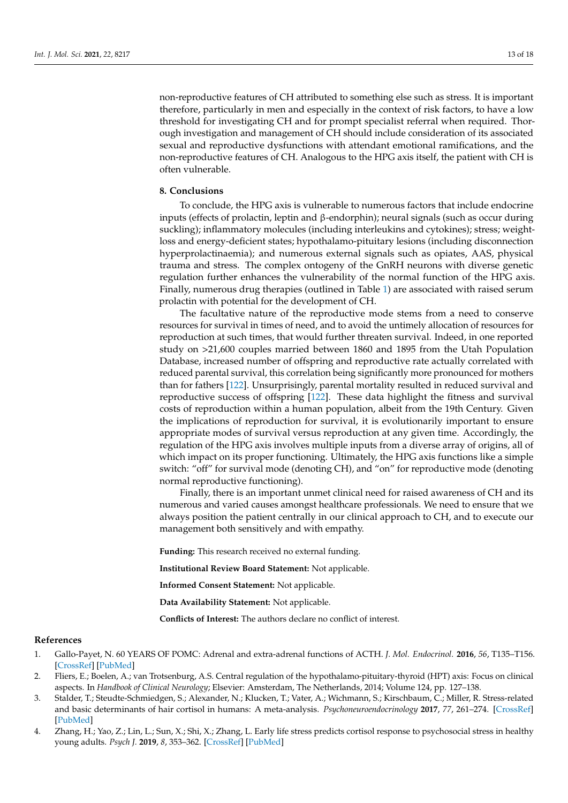non-reproductive features of CH attributed to something else such as stress. It is important therefore, particularly in men and especially in the context of risk factors, to have a low threshold for investigating CH and for prompt specialist referral when required. Thorough investigation and management of CH should include consideration of its associated sexual and reproductive dysfunctions with attendant emotional ramifications, and the non-reproductive features of CH. Analogous to the HPG axis itself, the patient with CH is often vulnerable.

# **8. Conclusions**

To conclude, the HPG axis is vulnerable to numerous factors that include endocrine inputs (effects of prolactin, leptin and β-endorphin); neural signals (such as occur during suckling); inflammatory molecules (including interleukins and cytokines); stress; weightloss and energy-deficient states; hypothalamo-pituitary lesions (including disconnection hyperprolactinaemia); and numerous external signals such as opiates, AAS, physical trauma and stress. The complex ontogeny of the GnRH neurons with diverse genetic regulation further enhances the vulnerability of the normal function of the HPG axis. Finally, numerous drug therapies (outlined in Table [1\)](#page-6-0) are associated with raised serum prolactin with potential for the development of CH.

The facultative nature of the reproductive mode stems from a need to conserve resources for survival in times of need, and to avoid the untimely allocation of resources for reproduction at such times, that would further threaten survival. Indeed, in one reported study on >21,600 couples married between 1860 and 1895 from the Utah Population Database, increased number of offspring and reproductive rate actually correlated with reduced parental survival, this correlation being significantly more pronounced for mothers than for fathers [\[122\]](#page-17-7). Unsurprisingly, parental mortality resulted in reduced survival and reproductive success of offspring [\[122\]](#page-17-7). These data highlight the fitness and survival costs of reproduction within a human population, albeit from the 19th Century. Given the implications of reproduction for survival, it is evolutionarily important to ensure appropriate modes of survival versus reproduction at any given time. Accordingly, the regulation of the HPG axis involves multiple inputs from a diverse array of origins, all of which impact on its proper functioning. Ultimately, the HPG axis functions like a simple switch: "off" for survival mode (denoting CH), and "on" for reproductive mode (denoting normal reproductive functioning).

Finally, there is an important unmet clinical need for raised awareness of CH and its numerous and varied causes amongst healthcare professionals. We need to ensure that we always position the patient centrally in our clinical approach to CH, and to execute our management both sensitively and with empathy.

**Funding:** This research received no external funding.

**Institutional Review Board Statement:** Not applicable.

**Informed Consent Statement:** Not applicable.

**Data Availability Statement:** Not applicable.

**Conflicts of Interest:** The authors declare no conflict of interest.

# **References**

- <span id="page-12-0"></span>1. Gallo-Payet, N. 60 YEARS OF POMC: Adrenal and extra-adrenal functions of ACTH. *J. Mol. Endocrinol.* **2016**, *56*, T135–T156. [\[CrossRef\]](http://doi.org/10.1530/JME-15-0257) [\[PubMed\]](http://www.ncbi.nlm.nih.gov/pubmed/26793988)
- <span id="page-12-1"></span>2. Fliers, E.; Boelen, A.; van Trotsenburg, A.S. Central regulation of the hypothalamo-pituitary-thyroid (HPT) axis: Focus on clinical aspects. In *Handbook of Clinical Neurology*; Elsevier: Amsterdam, The Netherlands, 2014; Volume 124, pp. 127–138.
- <span id="page-12-2"></span>3. Stalder, T.; Steudte-Schmiedgen, S.; Alexander, N.; Klucken, T.; Vater, A.; Wichmann, S.; Kirschbaum, C.; Miller, R. Stress-related and basic determinants of hair cortisol in humans: A meta-analysis. *Psychoneuroendocrinology* **2017**, *77*, 261–274. [\[CrossRef\]](http://doi.org/10.1016/j.psyneuen.2016.12.017) [\[PubMed\]](http://www.ncbi.nlm.nih.gov/pubmed/28135674)
- <span id="page-12-3"></span>4. Zhang, H.; Yao, Z.; Lin, L.; Sun, X.; Shi, X.; Zhang, L. Early life stress predicts cortisol response to psychosocial stress in healthy young adults. *Psych J.* **2019**, *8*, 353–362. [\[CrossRef\]](http://doi.org/10.1002/pchj.278) [\[PubMed\]](http://www.ncbi.nlm.nih.gov/pubmed/30932372)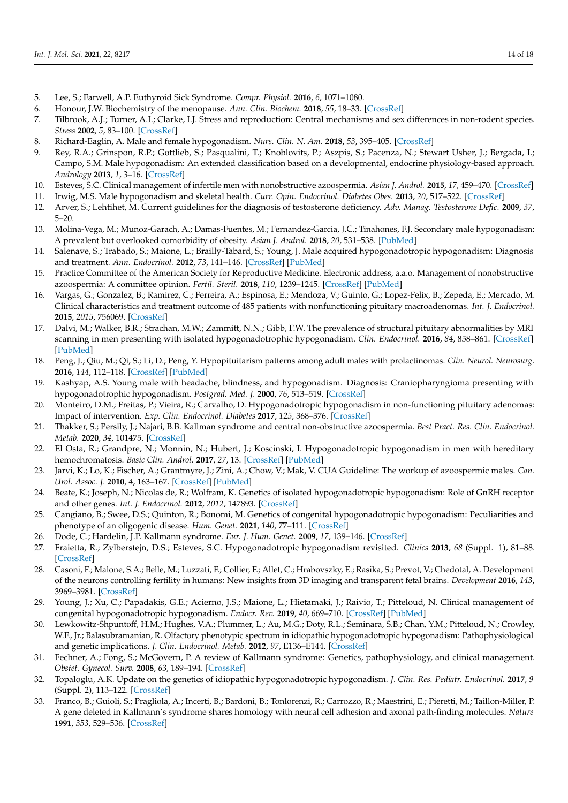- <span id="page-13-0"></span>5. Lee, S.; Farwell, A.P. Euthyroid Sick Syndrome. *Compr. Physiol.* **2016**, *6*, 1071–1080.
- <span id="page-13-1"></span>6. Honour, J.W. Biochemistry of the menopause. *Ann. Clin. Biochem.* **2018**, *55*, 18–33. [\[CrossRef\]](http://doi.org/10.1177/0004563217739930)
- <span id="page-13-2"></span>7. Tilbrook, A.J.; Turner, A.I.; Clarke, I.J. Stress and reproduction: Central mechanisms and sex differences in non-rodent species. *Stress* **2002**, *5*, 83–100. [\[CrossRef\]](http://doi.org/10.1080/10253890290027912)
- <span id="page-13-3"></span>8. Richard-Eaglin, A. Male and female hypogonadism. *Nurs. Clin. N. Am.* **2018**, *53*, 395–405. [\[CrossRef\]](http://doi.org/10.1016/j.cnur.2018.04.006)
- <span id="page-13-4"></span>9. Rey, R.A.; Grinspon, R.P.; Gottlieb, S.; Pasqualini, T.; Knoblovits, P.; Aszpis, S.; Pacenza, N.; Stewart Usher, J.; Bergada, I.; Campo, S.M. Male hypogonadism: An extended classification based on a developmental, endocrine physiology-based approach. *Andrology* **2013**, *1*, 3–16. [\[CrossRef\]](http://doi.org/10.1111/j.2047-2927.2012.00008.x)
- <span id="page-13-5"></span>10. Esteves, S.C. Clinical management of infertile men with nonobstructive azoospermia. *Asian J. Androl.* **2015**, *17*, 459–470. [\[CrossRef\]](http://doi.org/10.4103/1008-682X.148719)
- <span id="page-13-6"></span>11. Irwig, M.S. Male hypogonadism and skeletal health. *Curr. Opin. Endocrinol. Diabetes Obes.* **2013**, *20*, 517–522. [\[CrossRef\]](http://doi.org/10.1097/01.med.0000436185.36717.76)
- <span id="page-13-7"></span>12. Arver, S.; Lehtihet, M. Current guidelines for the diagnosis of testosterone deficiency. *Adv. Manag. Testosterone Defic.* **2009**, *37*, 5–20.
- <span id="page-13-8"></span>13. Molina-Vega, M.; Munoz-Garach, A.; Damas-Fuentes, M.; Fernandez-Garcia, J.C.; Tinahones, F.J. Secondary male hypogonadism: A prevalent but overlooked comorbidity of obesity. *Asian J. Androl.* **2018**, *20*, 531–538. [\[PubMed\]](http://www.ncbi.nlm.nih.gov/pubmed/29974886)
- <span id="page-13-9"></span>14. Salenave, S.; Trabado, S.; Maione, L.; Brailly-Tabard, S.; Young, J. Male acquired hypogonadotropic hypogonadism: Diagnosis and treatment. *Ann. Endocrinol.* **2012**, *73*, 141–146. [\[CrossRef\]](http://doi.org/10.1016/j.ando.2012.03.040) [\[PubMed\]](http://www.ncbi.nlm.nih.gov/pubmed/22541999)
- <span id="page-13-10"></span>15. Practice Committee of the American Society for Reproductive Medicine. Electronic address, a.a.o. Management of nonobstructive azoospermia: A committee opinion. *Fertil. Steril.* **2018**, *110*, 1239–1245. [\[CrossRef\]](http://doi.org/10.1016/j.fertnstert.2018.09.012) [\[PubMed\]](http://www.ncbi.nlm.nih.gov/pubmed/30503112)
- <span id="page-13-11"></span>16. Vargas, G.; Gonzalez, B.; Ramirez, C.; Ferreira, A.; Espinosa, E.; Mendoza, V.; Guinto, G.; Lopez-Felix, B.; Zepeda, E.; Mercado, M. Clinical characteristics and treatment outcome of 485 patients with nonfunctioning pituitary macroadenomas. *Int. J. Endocrinol.* **2015**, *2015*, 756069. [\[CrossRef\]](http://doi.org/10.1155/2015/756069)
- <span id="page-13-12"></span>17. Dalvi, M.; Walker, B.R.; Strachan, M.W.; Zammitt, N.N.; Gibb, F.W. The prevalence of structural pituitary abnormalities by MRI scanning in men presenting with isolated hypogonadotrophic hypogonadism. *Clin. Endocrinol.* **2016**, *84*, 858–861. [\[CrossRef\]](http://doi.org/10.1111/cen.13015) [\[PubMed\]](http://www.ncbi.nlm.nih.gov/pubmed/26733239)
- <span id="page-13-13"></span>18. Peng, J.; Qiu, M.; Qi, S.; Li, D.; Peng, Y. Hypopituitarism patterns among adult males with prolactinomas. *Clin. Neurol. Neurosurg.* **2016**, *144*, 112–118. [\[CrossRef\]](http://doi.org/10.1016/j.clineuro.2016.01.029) [\[PubMed\]](http://www.ncbi.nlm.nih.gov/pubmed/27038873)
- <span id="page-13-14"></span>19. Kashyap, A.S. Young male with headache, blindness, and hypogonadism. Diagnosis: Craniopharyngioma presenting with hypogonadotrophic hypogonadism. *Postgrad. Med. J.* **2000**, *76*, 513–519. [\[CrossRef\]](http://doi.org/10.1136/pmj.76.898.513)
- <span id="page-13-15"></span>20. Monteiro, D.M.; Freitas, P.; Vieira, R.; Carvalho, D. Hypogonadotropic hypogonadism in non-functioning pituitary adenomas: Impact of intervention. *Exp. Clin. Endocrinol. Diabetes* **2017**, *125*, 368–376. [\[CrossRef\]](http://doi.org/10.1055/s-0042-124355)
- <span id="page-13-16"></span>21. Thakker, S.; Persily, J.; Najari, B.B. Kallman syndrome and central non-obstructive azoospermia. *Best Pract. Res. Clin. Endocrinol. Metab.* **2020**, *34*, 101475. [\[CrossRef\]](http://doi.org/10.1016/j.beem.2020.101475)
- <span id="page-13-17"></span>22. El Osta, R.; Grandpre, N.; Monnin, N.; Hubert, J.; Koscinski, I. Hypogonadotropic hypogonadism in men with hereditary hemochromatosis. *Basic Clin. Androl.* **2017**, *27*, 13. [\[CrossRef\]](http://doi.org/10.1186/s12610-017-0057-8) [\[PubMed\]](http://www.ncbi.nlm.nih.gov/pubmed/28694969)
- <span id="page-13-18"></span>23. Jarvi, K.; Lo, K.; Fischer, A.; Grantmyre, J.; Zini, A.; Chow, V.; Mak, V. CUA Guideline: The workup of azoospermic males. *Can. Urol. Assoc. J.* **2010**, *4*, 163–167. [\[CrossRef\]](http://doi.org/10.5489/cuaj.10050) [\[PubMed\]](http://www.ncbi.nlm.nih.gov/pubmed/20514278)
- <span id="page-13-19"></span>24. Beate, K.; Joseph, N.; Nicolas de, R.; Wolfram, K. Genetics of isolated hypogonadotropic hypogonadism: Role of GnRH receptor and other genes. *Int. J. Endocrinol.* **2012**, *2012*, 147893. [\[CrossRef\]](http://doi.org/10.1155/2012/147893)
- <span id="page-13-20"></span>25. Cangiano, B.; Swee, D.S.; Quinton, R.; Bonomi, M. Genetics of congenital hypogonadotropic hypogonadism: Peculiarities and phenotype of an oligogenic disease. *Hum. Genet.* **2021**, *140*, 77–111. [\[CrossRef\]](http://doi.org/10.1007/s00439-020-02147-1)
- <span id="page-13-21"></span>26. Dode, C.; Hardelin, J.P. Kallmann syndrome. *Eur. J. Hum. Genet.* **2009**, *17*, 139–146. [\[CrossRef\]](http://doi.org/10.1038/ejhg.2008.206)
- <span id="page-13-22"></span>27. Fraietta, R.; Zylberstejn, D.S.; Esteves, S.C. Hypogonadotropic hypogonadism revisited. *Clinics* **2013**, *68* (Suppl. 1), 81–88. [\[CrossRef\]](http://doi.org/10.6061/clinics/2013(Sup01)09)
- <span id="page-13-23"></span>28. Casoni, F.; Malone, S.A.; Belle, M.; Luzzati, F.; Collier, F.; Allet, C.; Hrabovszky, E.; Rasika, S.; Prevot, V.; Chedotal, A. Development of the neurons controlling fertility in humans: New insights from 3D imaging and transparent fetal brains. *Development* **2016**, *143*, 3969–3981. [\[CrossRef\]](http://doi.org/10.1242/dev.139444)
- <span id="page-13-24"></span>29. Young, J.; Xu, C.; Papadakis, G.E.; Acierno, J.S.; Maione, L.; Hietamaki, J.; Raivio, T.; Pitteloud, N. Clinical management of congenital hypogonadotropic hypogonadism. *Endocr. Rev.* **2019**, *40*, 669–710. [\[CrossRef\]](http://doi.org/10.1210/er.2018-00116) [\[PubMed\]](http://www.ncbi.nlm.nih.gov/pubmed/30698671)
- <span id="page-13-25"></span>30. Lewkowitz-Shpuntoff, H.M.; Hughes, V.A.; Plummer, L.; Au, M.G.; Doty, R.L.; Seminara, S.B.; Chan, Y.M.; Pitteloud, N.; Crowley, W.F., Jr.; Balasubramanian, R. Olfactory phenotypic spectrum in idiopathic hypogonadotropic hypogonadism: Pathophysiological and genetic implications. *J. Clin. Endocrinol. Metab.* **2012**, *97*, E136–E144. [\[CrossRef\]](http://doi.org/10.1210/jc.2011-2041)
- <span id="page-13-26"></span>31. Fechner, A.; Fong, S.; McGovern, P. A review of Kallmann syndrome: Genetics, pathophysiology, and clinical management. *Obstet. Gynecol. Surv.* **2008**, *63*, 189–194. [\[CrossRef\]](http://doi.org/10.1097/OGX.0b013e3181641278)
- <span id="page-13-27"></span>32. Topaloglu, A.K. Update on the genetics of idiopathic hypogonadotropic hypogonadism. *J. Clin. Res. Pediatr. Endocrinol.* **2017**, *9* (Suppl. 2), 113–122. [\[CrossRef\]](http://doi.org/10.4274/jcrpe.2017.S010)
- <span id="page-13-28"></span>33. Franco, B.; Guioli, S.; Pragliola, A.; Incerti, B.; Bardoni, B.; Tonlorenzi, R.; Carrozzo, R.; Maestrini, E.; Pieretti, M.; Taillon-Miller, P. A gene deleted in Kallmann's syndrome shares homology with neural cell adhesion and axonal path-finding molecules. *Nature* **1991**, *353*, 529–536. [\[CrossRef\]](http://doi.org/10.1038/353529a0)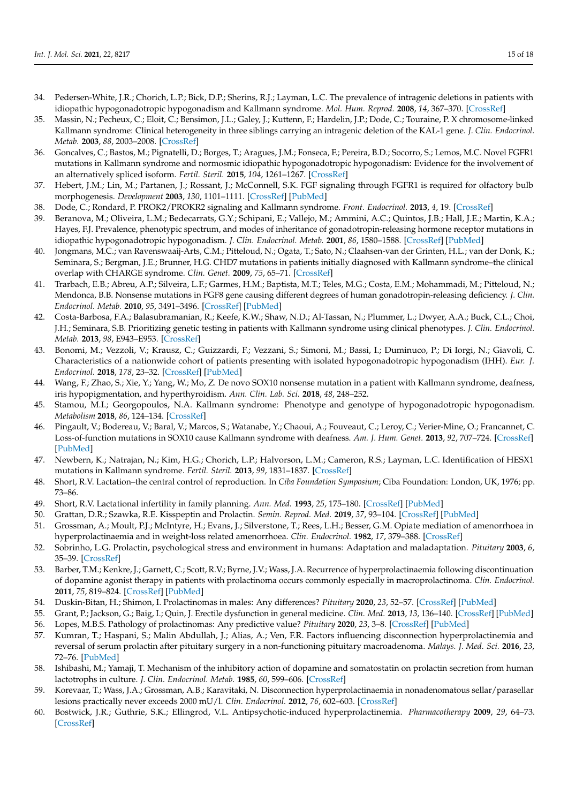- <span id="page-14-0"></span>34. Pedersen-White, J.R.; Chorich, L.P.; Bick, D.P.; Sherins, R.J.; Layman, L.C. The prevalence of intragenic deletions in patients with idiopathic hypogonadotropic hypogonadism and Kallmann syndrome. *Mol. Hum. Reprod.* **2008**, *14*, 367–370. [\[CrossRef\]](http://doi.org/10.1093/molehr/gan027)
- <span id="page-14-1"></span>35. Massin, N.; Pecheux, C.; Eloit, C.; Bensimon, J.L.; Galey, J.; Kuttenn, F.; Hardelin, J.P.; Dode, C.; Touraine, P. X chromosome-linked Kallmann syndrome: Clinical heterogeneity in three siblings carrying an intragenic deletion of the KAL-1 gene. *J. Clin. Endocrinol. Metab.* **2003**, *88*, 2003–2008. [\[CrossRef\]](http://doi.org/10.1210/jc.2002-021981)
- <span id="page-14-2"></span>36. Goncalves, C.; Bastos, M.; Pignatelli, D.; Borges, T.; Aragues, J.M.; Fonseca, F.; Pereira, B.D.; Socorro, S.; Lemos, M.C. Novel FGFR1 mutations in Kallmann syndrome and normosmic idiopathic hypogonadotropic hypogonadism: Evidence for the involvement of an alternatively spliced isoform. *Fertil. Steril.* **2015**, *104*, 1261–1267. [\[CrossRef\]](http://doi.org/10.1016/j.fertnstert.2015.07.1142)
- <span id="page-14-3"></span>37. Hebert, J.M.; Lin, M.; Partanen, J.; Rossant, J.; McConnell, S.K. FGF signaling through FGFR1 is required for olfactory bulb morphogenesis. *Development* **2003**, *130*, 1101–1111. [\[CrossRef\]](http://doi.org/10.1242/dev.00334) [\[PubMed\]](http://www.ncbi.nlm.nih.gov/pubmed/12571102)
- <span id="page-14-4"></span>38. Dode, C.; Rondard, P. PROK2/PROKR2 signaling and Kallmann syndrome. *Front. Endocrinol.* **2013**, *4*, 19. [\[CrossRef\]](http://doi.org/10.3389/fendo.2013.00019)
- <span id="page-14-5"></span>39. Beranova, M.; Oliveira, L.M.; Bedecarrats, G.Y.; Schipani, E.; Vallejo, M.; Ammini, A.C.; Quintos, J.B.; Hall, J.E.; Martin, K.A.; Hayes, F.J. Prevalence, phenotypic spectrum, and modes of inheritance of gonadotropin-releasing hormone receptor mutations in idiopathic hypogonadotropic hypogonadism. *J. Clin. Endocrinol. Metab.* **2001**, *86*, 1580–1588. [\[CrossRef\]](http://doi.org/10.1210/jc.86.4.1580) [\[PubMed\]](http://www.ncbi.nlm.nih.gov/pubmed/11297587)
- <span id="page-14-6"></span>40. Jongmans, M.C.; van Ravenswaaij-Arts, C.M.; Pitteloud, N.; Ogata, T.; Sato, N.; Claahsen-van der Grinten, H.L.; van der Donk, K.; Seminara, S.; Bergman, J.E.; Brunner, H.G. CHD7 mutations in patients initially diagnosed with Kallmann syndrome–the clinical overlap with CHARGE syndrome. *Clin. Genet.* **2009**, *75*, 65–71. [\[CrossRef\]](http://doi.org/10.1111/j.1399-0004.2008.01107.x)
- <span id="page-14-7"></span>41. Trarbach, E.B.; Abreu, A.P.; Silveira, L.F.; Garmes, H.M.; Baptista, M.T.; Teles, M.G.; Costa, E.M.; Mohammadi, M.; Pitteloud, N.; Mendonca, B.B. Nonsense mutations in FGF8 gene causing different degrees of human gonadotropin-releasing deficiency. *J. Clin. Endocrinol. Metab.* **2010**, *95*, 3491–3496. [\[CrossRef\]](http://doi.org/10.1210/jc.2010-0176) [\[PubMed\]](http://www.ncbi.nlm.nih.gov/pubmed/20463092)
- <span id="page-14-8"></span>42. Costa-Barbosa, F.A.; Balasubramanian, R.; Keefe, K.W.; Shaw, N.D.; Al-Tassan, N.; Plummer, L.; Dwyer, A.A.; Buck, C.L.; Choi, J.H.; Seminara, S.B. Prioritizing genetic testing in patients with Kallmann syndrome using clinical phenotypes. *J. Clin. Endocrinol. Metab.* **2013**, *98*, E943–E953. [\[CrossRef\]](http://doi.org/10.1210/jc.2012-4116)
- <span id="page-14-9"></span>43. Bonomi, M.; Vezzoli, V.; Krausz, C.; Guizzardi, F.; Vezzani, S.; Simoni, M.; Bassi, I.; Duminuco, P.; Di Iorgi, N.; Giavoli, C. Characteristics of a nationwide cohort of patients presenting with isolated hypogonadotropic hypogonadism (IHH). *Eur. J. Endocrinol.* **2018**, *178*, 23–32. [\[CrossRef\]](http://doi.org/10.1530/EJE-17-0065) [\[PubMed\]](http://www.ncbi.nlm.nih.gov/pubmed/28882981)
- <span id="page-14-10"></span>44. Wang, F.; Zhao, S.; Xie, Y.; Yang, W.; Mo, Z. De novo SOX10 nonsense mutation in a patient with Kallmann syndrome, deafness, iris hypopigmentation, and hyperthyroidism. *Ann. Clin. Lab. Sci.* **2018**, *48*, 248–252.
- <span id="page-14-11"></span>45. Stamou, M.I.; Georgopoulos, N.A. Kallmann syndrome: Phenotype and genotype of hypogonadotropic hypogonadism. *Metabolism* **2018**, *86*, 124–134. [\[CrossRef\]](http://doi.org/10.1016/j.metabol.2017.10.012)
- <span id="page-14-12"></span>46. Pingault, V.; Bodereau, V.; Baral, V.; Marcos, S.; Watanabe, Y.; Chaoui, A.; Fouveaut, C.; Leroy, C.; Verier-Mine, O.; Francannet, C. Loss-of-function mutations in SOX10 cause Kallmann syndrome with deafness. *Am. J. Hum. Genet.* **2013**, *92*, 707–724. [\[CrossRef\]](http://doi.org/10.1016/j.ajhg.2013.03.024) [\[PubMed\]](http://www.ncbi.nlm.nih.gov/pubmed/23643381)
- <span id="page-14-13"></span>47. Newbern, K.; Natrajan, N.; Kim, H.G.; Chorich, L.P.; Halvorson, L.M.; Cameron, R.S.; Layman, L.C. Identification of HESX1 mutations in Kallmann syndrome. *Fertil. Steril.* **2013**, *99*, 1831–1837. [\[CrossRef\]](http://doi.org/10.1016/j.fertnstert.2013.01.149)
- <span id="page-14-14"></span>48. Short, R.V. Lactation–the central control of reproduction. In *Ciba Foundation Symposium*; Ciba Foundation: London, UK, 1976; pp. 73–86.
- <span id="page-14-15"></span>49. Short, R.V. Lactational infertility in family planning. *Ann. Med.* **1993**, *25*, 175–180. [\[CrossRef\]](http://doi.org/10.3109/07853899309164164) [\[PubMed\]](http://www.ncbi.nlm.nih.gov/pubmed/8489757)
- <span id="page-14-16"></span>50. Grattan, D.R.; Szawka, R.E. Kisspeptin and Prolactin. *Semin. Reprod. Med.* **2019**, *37*, 93–104. [\[CrossRef\]](http://doi.org/10.1055/s-0039-3400956) [\[PubMed\]](http://www.ncbi.nlm.nih.gov/pubmed/31847029)
- <span id="page-14-17"></span>51. Grossman, A.; Moult, P.J.; McIntyre, H.; Evans, J.; Silverstone, T.; Rees, L.H.; Besser, G.M. Opiate mediation of amenorrhoea in hyperprolactinaemia and in weight-loss related amenorrhoea. *Clin. Endocrinol.* **1982**, *17*, 379–388. [\[CrossRef\]](http://doi.org/10.1111/j.1365-2265.1982.tb01603.x)
- <span id="page-14-18"></span>52. Sobrinho, L.G. Prolactin, psychological stress and environment in humans: Adaptation and maladaptation. *Pituitary* **2003**, *6*, 35–39. [\[CrossRef\]](http://doi.org/10.1023/A:1026229810876)
- <span id="page-14-19"></span>53. Barber, T.M.; Kenkre, J.; Garnett, C.; Scott, R.V.; Byrne, J.V.; Wass, J.A. Recurrence of hyperprolactinaemia following discontinuation of dopamine agonist therapy in patients with prolactinoma occurs commonly especially in macroprolactinoma. *Clin. Endocrinol.* **2011**, *75*, 819–824. [\[CrossRef\]](http://doi.org/10.1111/j.1365-2265.2011.04136.x) [\[PubMed\]](http://www.ncbi.nlm.nih.gov/pubmed/21645021)
- <span id="page-14-20"></span>54. Duskin-Bitan, H.; Shimon, I. Prolactinomas in males: Any differences? *Pituitary* **2020**, *23*, 52–57. [\[CrossRef\]](http://doi.org/10.1007/s11102-019-01009-y) [\[PubMed\]](http://www.ncbi.nlm.nih.gov/pubmed/31802331)
- <span id="page-14-22"></span><span id="page-14-21"></span>55. Grant, P.; Jackson, G.; Baig, I.; Quin, J. Erectile dysfunction in general medicine. *Clin. Med.* **2013**, *13*, 136–140. [\[CrossRef\]](http://doi.org/10.7861/clinmedicine.13-2-136) [\[PubMed\]](http://www.ncbi.nlm.nih.gov/pubmed/23681859) 56. Lopes, M.B.S. Pathology of prolactinomas: Any predictive value? *Pituitary* **2020**, *23*, 3–8. [\[CrossRef\]](http://doi.org/10.1007/s11102-019-00997-1) [\[PubMed\]](http://www.ncbi.nlm.nih.gov/pubmed/31641970)
- <span id="page-14-23"></span>57. Kumran, T.; Haspani, S.; Malin Abdullah, J.; Alias, A.; Ven, F.R. Factors influencing disconnection hyperprolactinemia and reversal of serum prolactin after pituitary surgery in a non-functioning pituitary macroadenoma. *Malays. J. Med. Sci.* **2016**, *23*, 72–76. [\[PubMed\]](http://www.ncbi.nlm.nih.gov/pubmed/27540328)
- <span id="page-14-24"></span>58. Ishibashi, M.; Yamaji, T. Mechanism of the inhibitory action of dopamine and somatostatin on prolactin secretion from human lactotrophs in culture. *J. Clin. Endocrinol. Metab.* **1985**, *60*, 599–606. [\[CrossRef\]](http://doi.org/10.1210/jcem-60-3-599)
- <span id="page-14-25"></span>59. Korevaar, T.; Wass, J.A.; Grossman, A.B.; Karavitaki, N. Disconnection hyperprolactinaemia in nonadenomatous sellar/parasellar lesions practically never exceeds 2000 mU/l. *Clin. Endocrinol.* **2012**, *76*, 602–603. [\[CrossRef\]](http://doi.org/10.1111/j.1365-2265.2011.04226.x)
- <span id="page-14-26"></span>60. Bostwick, J.R.; Guthrie, S.K.; Ellingrod, V.L. Antipsychotic-induced hyperprolactinemia. *Pharmacotherapy* **2009**, *29*, 64–73. [\[CrossRef\]](http://doi.org/10.1592/phco.29.1.64)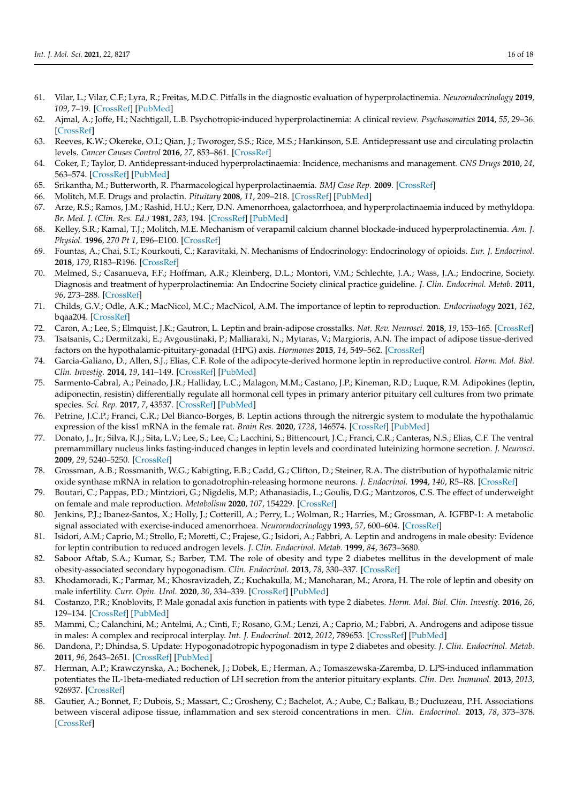- <span id="page-15-0"></span>61. Vilar, L.; Vilar, C.F.; Lyra, R.; Freitas, M.D.C. Pitfalls in the diagnostic evaluation of hyperprolactinemia. *Neuroendocrinology* **2019**, *109*, 7–19. [\[CrossRef\]](http://doi.org/10.1159/000499694) [\[PubMed\]](http://www.ncbi.nlm.nih.gov/pubmed/30889571)
- <span id="page-15-1"></span>62. Ajmal, A.; Joffe, H.; Nachtigall, L.B. Psychotropic-induced hyperprolactinemia: A clinical review. *Psychosomatics* **2014**, *55*, 29–36. [\[CrossRef\]](http://doi.org/10.1016/j.psym.2013.08.008)
- <span id="page-15-2"></span>63. Reeves, K.W.; Okereke, O.I.; Qian, J.; Tworoger, S.S.; Rice, M.S.; Hankinson, S.E. Antidepressant use and circulating prolactin levels. *Cancer Causes Control* **2016**, *27*, 853–861. [\[CrossRef\]](http://doi.org/10.1007/s10552-016-0758-x)
- <span id="page-15-3"></span>64. Coker, F.; Taylor, D. Antidepressant-induced hyperprolactinaemia: Incidence, mechanisms and management. *CNS Drugs* **2010**, *24*, 563–574. [\[CrossRef\]](http://doi.org/10.2165/11533140-000000000-00000) [\[PubMed\]](http://www.ncbi.nlm.nih.gov/pubmed/20527996)
- <span id="page-15-4"></span>65. Srikantha, M.; Butterworth, R. Pharmacological hyperprolactinaemia. *BMJ Case Rep.* **2009**. [\[CrossRef\]](http://doi.org/10.1136/bcr.01.2009.1432)
- <span id="page-15-5"></span>66. Molitch, M.E. Drugs and prolactin. *Pituitary* **2008**, *11*, 209–218. [\[CrossRef\]](http://doi.org/10.1007/s11102-008-0106-6) [\[PubMed\]](http://www.ncbi.nlm.nih.gov/pubmed/18404390)
- <span id="page-15-6"></span>67. Arze, R.S.; Ramos, J.M.; Rashid, H.U.; Kerr, D.N. Amenorrhoea, galactorrhoea, and hyperprolactinaemia induced by methyldopa. *Br. Med. J. (Clin. Res. Ed.)* **1981**, *283*, 194. [\[CrossRef\]](http://doi.org/10.1136/bmj.283.6285.194) [\[PubMed\]](http://www.ncbi.nlm.nih.gov/pubmed/6789964)
- <span id="page-15-7"></span>68. Kelley, S.R.; Kamal, T.J.; Molitch, M.E. Mechanism of verapamil calcium channel blockade-induced hyperprolactinemia. *Am. J. Physiol.* **1996**, *270 Pt 1*, E96–E100. [\[CrossRef\]](http://doi.org/10.1152/ajpendo.1996.270.1.E96)
- <span id="page-15-8"></span>69. Fountas, A.; Chai, S.T.; Kourkouti, C.; Karavitaki, N. Mechanisms of Endocrinology: Endocrinology of opioids. *Eur. J. Endocrinol.* **2018**, *179*, R183–R196. [\[CrossRef\]](http://doi.org/10.1530/EJE-18-0270)
- <span id="page-15-9"></span>70. Melmed, S.; Casanueva, F.F.; Hoffman, A.R.; Kleinberg, D.L.; Montori, V.M.; Schlechte, J.A.; Wass, J.A.; Endocrine, Society. Diagnosis and treatment of hyperprolactinemia: An Endocrine Society clinical practice guideline. *J. Clin. Endocrinol. Metab.* **2011**, *96*, 273–288. [\[CrossRef\]](http://doi.org/10.1210/jc.2010-1692)
- <span id="page-15-10"></span>71. Childs, G.V.; Odle, A.K.; MacNicol, M.C.; MacNicol, A.M. The importance of leptin to reproduction. *Endocrinology* **2021**, *162*, bqaa204. [\[CrossRef\]](http://doi.org/10.1210/endocr/bqaa204)
- <span id="page-15-11"></span>72. Caron, A.; Lee, S.; Elmquist, J.K.; Gautron, L. Leptin and brain-adipose crosstalks. *Nat. Rev. Neurosci.* **2018**, *19*, 153–165. [\[CrossRef\]](http://doi.org/10.1038/nrn.2018.7)
- <span id="page-15-12"></span>73. Tsatsanis, C.; Dermitzaki, E.; Avgoustinaki, P.; Malliaraki, N.; Mytaras, V.; Margioris, A.N. The impact of adipose tissue-derived factors on the hypothalamic-pituitary-gonadal (HPG) axis. *Hormones* **2015**, *14*, 549–562. [\[CrossRef\]](http://doi.org/10.14310/horm.2002.1649)
- <span id="page-15-13"></span>74. Garcia-Galiano, D.; Allen, S.J.; Elias, C.F. Role of the adipocyte-derived hormone leptin in reproductive control. *Horm. Mol. Biol. Clin. Investig.* **2014**, *19*, 141–149. [\[CrossRef\]](http://doi.org/10.1515/hmbci-2014-0017) [\[PubMed\]](http://www.ncbi.nlm.nih.gov/pubmed/25390022)
- <span id="page-15-14"></span>75. Sarmento-Cabral, A.; Peinado, J.R.; Halliday, L.C.; Malagon, M.M.; Castano, J.P.; Kineman, R.D.; Luque, R.M. Adipokines (leptin, adiponectin, resistin) differentially regulate all hormonal cell types in primary anterior pituitary cell cultures from two primate species. *Sci. Rep.* **2017**, *7*, 43537. [\[CrossRef\]](http://doi.org/10.1038/srep43537) [\[PubMed\]](http://www.ncbi.nlm.nih.gov/pubmed/28349931)
- <span id="page-15-15"></span>76. Petrine, J.C.P.; Franci, C.R.; Del Bianco-Borges, B. Leptin actions through the nitrergic system to modulate the hypothalamic expression of the kiss1 mRNA in the female rat. *Brain Res.* **2020**, *1728*, 146574. [\[CrossRef\]](http://doi.org/10.1016/j.brainres.2019.146574) [\[PubMed\]](http://www.ncbi.nlm.nih.gov/pubmed/31790683)
- <span id="page-15-16"></span>77. Donato, J., Jr.; Silva, R.J.; Sita, L.V.; Lee, S.; Lee, C.; Lacchini, S.; Bittencourt, J.C.; Franci, C.R.; Canteras, N.S.; Elias, C.F. The ventral premammillary nucleus links fasting-induced changes in leptin levels and coordinated luteinizing hormone secretion. *J. Neurosci.* **2009**, *29*, 5240–5250. [\[CrossRef\]](http://doi.org/10.1523/JNEUROSCI.0405-09.2009)
- <span id="page-15-17"></span>78. Grossman, A.B.; Rossmanith, W.G.; Kabigting, E.B.; Cadd, G.; Clifton, D.; Steiner, R.A. The distribution of hypothalamic nitric oxide synthase mRNA in relation to gonadotrophin-releasing hormone neurons. *J. Endocrinol.* **1994**, *140*, R5–R8. [\[CrossRef\]](http://doi.org/10.1677/joe.0.140R005)
- <span id="page-15-18"></span>79. Boutari, C.; Pappas, P.D.; Mintziori, G.; Nigdelis, M.P.; Athanasiadis, L.; Goulis, D.G.; Mantzoros, C.S. The effect of underweight on female and male reproduction. *Metabolism* **2020**, *107*, 154229. [\[CrossRef\]](http://doi.org/10.1016/j.metabol.2020.154229)
- <span id="page-15-19"></span>80. Jenkins, P.J.; Ibanez-Santos, X.; Holly, J.; Cotterill, A.; Perry, L.; Wolman, R.; Harries, M.; Grossman, A. IGFBP-1: A metabolic signal associated with exercise-induced amenorrhoea. *Neuroendocrinology* **1993**, *57*, 600–604. [\[CrossRef\]](http://doi.org/10.1159/000126413)
- <span id="page-15-20"></span>81. Isidori, A.M.; Caprio, M.; Strollo, F.; Moretti, C.; Frajese, G.; Isidori, A.; Fabbri, A. Leptin and androgens in male obesity: Evidence for leptin contribution to reduced androgen levels. *J. Clin. Endocrinol. Metab.* **1999**, *84*, 3673–3680.
- <span id="page-15-21"></span>82. Saboor Aftab, S.A.; Kumar, S.; Barber, T.M. The role of obesity and type 2 diabetes mellitus in the development of male obesity-associated secondary hypogonadism. *Clin. Endocrinol.* **2013**, *78*, 330–337. [\[CrossRef\]](http://doi.org/10.1111/cen.12092)
- <span id="page-15-22"></span>83. Khodamoradi, K.; Parmar, M.; Khosravizadeh, Z.; Kuchakulla, M.; Manoharan, M.; Arora, H. The role of leptin and obesity on male infertility. *Curr. Opin. Urol.* **2020**, *30*, 334–339. [\[CrossRef\]](http://doi.org/10.1097/MOU.0000000000000762) [\[PubMed\]](http://www.ncbi.nlm.nih.gov/pubmed/32205811)
- <span id="page-15-23"></span>84. Costanzo, P.R.; Knoblovits, P. Male gonadal axis function in patients with type 2 diabetes. *Horm. Mol. Biol. Clin. Investig.* **2016**, *26*, 129–134. [\[CrossRef\]](http://doi.org/10.1515/hmbci-2016-0014) [\[PubMed\]](http://www.ncbi.nlm.nih.gov/pubmed/27071157)
- <span id="page-15-24"></span>85. Mammi, C.; Calanchini, M.; Antelmi, A.; Cinti, F.; Rosano, G.M.; Lenzi, A.; Caprio, M.; Fabbri, A. Androgens and adipose tissue in males: A complex and reciprocal interplay. *Int. J. Endocrinol.* **2012**, *2012*, 789653. [\[CrossRef\]](http://doi.org/10.1155/2012/789653) [\[PubMed\]](http://www.ncbi.nlm.nih.gov/pubmed/22235202)
- <span id="page-15-25"></span>86. Dandona, P.; Dhindsa, S. Update: Hypogonadotropic hypogonadism in type 2 diabetes and obesity. *J. Clin. Endocrinol. Metab.* **2011**, *96*, 2643–2651. [\[CrossRef\]](http://doi.org/10.1210/jc.2010-2724) [\[PubMed\]](http://www.ncbi.nlm.nih.gov/pubmed/21896895)
- <span id="page-15-26"></span>87. Herman, A.P.; Krawczynska, A.; Bochenek, J.; Dobek, E.; Herman, A.; Tomaszewska-Zaremba, D. LPS-induced inflammation potentiates the IL-1beta-mediated reduction of LH secretion from the anterior pituitary explants. *Clin. Dev. Immunol.* **2013**, *2013*, 926937. [\[CrossRef\]](http://doi.org/10.1155/2013/926937)
- <span id="page-15-27"></span>88. Gautier, A.; Bonnet, F.; Dubois, S.; Massart, C.; Grosheny, C.; Bachelot, A.; Aube, C.; Balkau, B.; Ducluzeau, P.H. Associations between visceral adipose tissue, inflammation and sex steroid concentrations in men. *Clin. Endocrinol.* **2013**, *78*, 373–378. [\[CrossRef\]](http://doi.org/10.1111/j.1365-2265.2012.04401.x)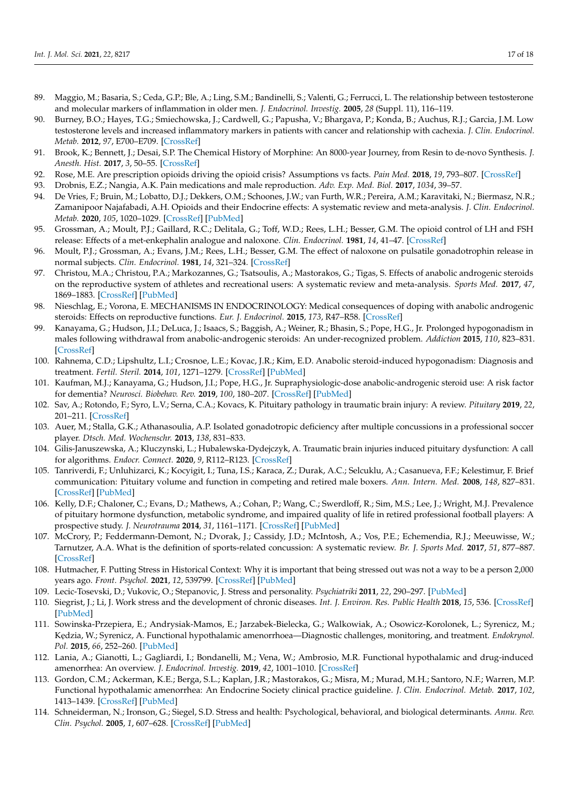- <span id="page-16-0"></span>89. Maggio, M.; Basaria, S.; Ceda, G.P.; Ble, A.; Ling, S.M.; Bandinelli, S.; Valenti, G.; Ferrucci, L. The relationship between testosterone and molecular markers of inflammation in older men. *J. Endocrinol. Investig.* **2005**, *28* (Suppl. 11), 116–119.
- <span id="page-16-1"></span>90. Burney, B.O.; Hayes, T.G.; Smiechowska, J.; Cardwell, G.; Papusha, V.; Bhargava, P.; Konda, B.; Auchus, R.J.; Garcia, J.M. Low testosterone levels and increased inflammatory markers in patients with cancer and relationship with cachexia. *J. Clin. Endocrinol. Metab.* **2012**, *97*, E700–E709. [\[CrossRef\]](http://doi.org/10.1210/jc.2011-2387)
- <span id="page-16-2"></span>91. Brook, K.; Bennett, J.; Desai, S.P. The Chemical History of Morphine: An 8000-year Journey, from Resin to de-novo Synthesis. *J. Anesth. Hist.* **2017**, *3*, 50–55. [\[CrossRef\]](http://doi.org/10.1016/j.janh.2017.02.001)
- <span id="page-16-3"></span>92. Rose, M.E. Are prescription opioids driving the opioid crisis? Assumptions vs facts. *Pain Med.* **2018**, *19*, 793–807. [\[CrossRef\]](http://doi.org/10.1093/pm/pnx048)
- <span id="page-16-4"></span>93. Drobnis, E.Z.; Nangia, A.K. Pain medications and male reproduction. *Adv. Exp. Med. Biol.* **2017**, *1034*, 39–57.
- <span id="page-16-5"></span>94. De Vries, F.; Bruin, M.; Lobatto, D.J.; Dekkers, O.M.; Schoones, J.W.; van Furth, W.R.; Pereira, A.M.; Karavitaki, N.; Biermasz, N.R.; Zamanipoor Najafabadi, A.H. Opioids and their Endocrine effects: A systematic review and meta-analysis. *J. Clin. Endocrinol. Metab.* **2020**, *105*, 1020–1029. [\[CrossRef\]](http://doi.org/10.1210/clinem/dgz022) [\[PubMed\]](http://www.ncbi.nlm.nih.gov/pubmed/31511863)
- <span id="page-16-6"></span>95. Grossman, A.; Moult, P.J.; Gaillard, R.C.; Delitala, G.; Toff, W.D.; Rees, L.H.; Besser, G.M. The opioid control of LH and FSH release: Effects of a met-enkephalin analogue and naloxone. *Clin. Endocrinol.* **1981**, *14*, 41–47. [\[CrossRef\]](http://doi.org/10.1111/j.1365-2265.1981.tb00363.x)
- <span id="page-16-7"></span>96. Moult, P.J.; Grossman, A.; Evans, J.M.; Rees, L.H.; Besser, G.M. The effect of naloxone on pulsatile gonadotrophin release in normal subjects. *Clin. Endocrinol.* **1981**, *14*, 321–324. [\[CrossRef\]](http://doi.org/10.1111/j.1365-2265.1981.tb00202.x)
- <span id="page-16-8"></span>97. Christou, M.A.; Christou, P.A.; Markozannes, G.; Tsatsoulis, A.; Mastorakos, G.; Tigas, S. Effects of anabolic androgenic steroids on the reproductive system of athletes and recreational users: A systematic review and meta-analysis. *Sports Med.* **2017**, *47*, 1869–1883. [\[CrossRef\]](http://doi.org/10.1007/s40279-017-0709-z) [\[PubMed\]](http://www.ncbi.nlm.nih.gov/pubmed/28258581)
- <span id="page-16-9"></span>98. Nieschlag, E.; Vorona, E. MECHANISMS IN ENDOCRINOLOGY: Medical consequences of doping with anabolic androgenic steroids: Effects on reproductive functions. *Eur. J. Endocrinol.* **2015**, *173*, R47–R58. [\[CrossRef\]](http://doi.org/10.1530/EJE-15-0080)
- <span id="page-16-10"></span>99. Kanayama, G.; Hudson, J.I.; DeLuca, J.; Isaacs, S.; Baggish, A.; Weiner, R.; Bhasin, S.; Pope, H.G., Jr. Prolonged hypogonadism in males following withdrawal from anabolic-androgenic steroids: An under-recognized problem. *Addiction* **2015**, *110*, 823–831. [\[CrossRef\]](http://doi.org/10.1111/add.12850)
- <span id="page-16-11"></span>100. Rahnema, C.D.; Lipshultz, L.I.; Crosnoe, L.E.; Kovac, J.R.; Kim, E.D. Anabolic steroid-induced hypogonadism: Diagnosis and treatment. *Fertil. Steril.* **2014**, *101*, 1271–1279. [\[CrossRef\]](http://doi.org/10.1016/j.fertnstert.2014.02.002) [\[PubMed\]](http://www.ncbi.nlm.nih.gov/pubmed/24636400)
- <span id="page-16-12"></span>101. Kaufman, M.J.; Kanayama, G.; Hudson, J.I.; Pope, H.G., Jr. Supraphysiologic-dose anabolic-androgenic steroid use: A risk factor for dementia? *Neurosci. Biobehav. Rev.* **2019**, *100*, 180–207. [\[CrossRef\]](http://doi.org/10.1016/j.neubiorev.2019.02.014) [\[PubMed\]](http://www.ncbi.nlm.nih.gov/pubmed/30817935)
- <span id="page-16-13"></span>102. Sav, A.; Rotondo, F.; Syro, L.V.; Serna, C.A.; Kovacs, K. Pituitary pathology in traumatic brain injury: A review. *Pituitary* **2019**, *22*, 201–211. [\[CrossRef\]](http://doi.org/10.1007/s11102-019-00958-8)
- <span id="page-16-14"></span>103. Auer, M.; Stalla, G.K.; Athanasoulia, A.P. Isolated gonadotropic deficiency after multiple concussions in a professional soccer player. *Dtsch. Med. Wochenschr.* **2013**, *138*, 831–833.
- 104. Gilis-Januszewska, A.; Kluczynski, L.; Hubalewska-Dydejczyk, A. Traumatic brain injuries induced pituitary dysfunction: A call for algorithms. *Endocr. Connect.* **2020**, *9*, R112–R123. [\[CrossRef\]](http://doi.org/10.1530/EC-20-0117)
- 105. Tanriverdi, F.; Unluhizarci, K.; Kocyigit, I.; Tuna, I.S.; Karaca, Z.; Durak, A.C.; Selcuklu, A.; Casanueva, F.F.; Kelestimur, F. Brief communication: Pituitary volume and function in competing and retired male boxers. *Ann. Intern. Med.* **2008**, *148*, 827–831. [\[CrossRef\]](http://doi.org/10.7326/0003-4819-148-11-200806030-00005) [\[PubMed\]](http://www.ncbi.nlm.nih.gov/pubmed/18519929)
- 106. Kelly, D.F.; Chaloner, C.; Evans, D.; Mathews, A.; Cohan, P.; Wang, C.; Swerdloff, R.; Sim, M.S.; Lee, J.; Wright, M.J. Prevalence of pituitary hormone dysfunction, metabolic syndrome, and impaired quality of life in retired professional football players: A prospective study. *J. Neurotrauma* **2014**, *31*, 1161–1171. [\[CrossRef\]](http://doi.org/10.1089/neu.2013.3212) [\[PubMed\]](http://www.ncbi.nlm.nih.gov/pubmed/24552537)
- <span id="page-16-15"></span>107. McCrory, P.; Feddermann-Demont, N.; Dvorak, J.; Cassidy, J.D.; McIntosh, A.; Vos, P.E.; Echemendia, R.J.; Meeuwisse, W.; Tarnutzer, A.A. What is the definition of sports-related concussion: A systematic review. *Br. J. Sports Med.* **2017**, *51*, 877–887. [\[CrossRef\]](http://doi.org/10.1136/bjsports-2016-097393)
- <span id="page-16-16"></span>108. Hutmacher, F. Putting Stress in Historical Context: Why it is important that being stressed out was not a way to be a person 2,000 years ago. *Front. Psychol.* **2021**, *12*, 539799. [\[CrossRef\]](http://doi.org/10.3389/fpsyg.2021.539799) [\[PubMed\]](http://www.ncbi.nlm.nih.gov/pubmed/33959059)
- <span id="page-16-17"></span>109. Lecic-Tosevski, D.; Vukovic, O.; Stepanovic, J. Stress and personality. *Psychiatriki* **2011**, *22*, 290–297. [\[PubMed\]](http://www.ncbi.nlm.nih.gov/pubmed/22271841)
- <span id="page-16-18"></span>110. Siegrist, J.; Li, J. Work stress and the development of chronic diseases. *Int. J. Environ. Res. Public Health* **2018**, *15*, 536. [\[CrossRef\]](http://doi.org/10.3390/ijerph15030536) [\[PubMed\]](http://www.ncbi.nlm.nih.gov/pubmed/29547566)
- <span id="page-16-19"></span>111. Sowinska-Przepiera, E.; Andrysiak-Mamos, E.; Jarzabek-Bielecka, G.; Walkowiak, A.; Osowicz-Korolonek, L.; Syrenicz, M.; Kędzia, W.; Syrenicz, A. Functional hypothalamic amenorrhoea—Diagnostic challenges, monitoring, and treatment. *Endokrynol. Pol.* **2015**, *66*, 252–260. [\[PubMed\]](http://www.ncbi.nlm.nih.gov/pubmed/26136135)
- <span id="page-16-20"></span>112. Lania, A.; Gianotti, L.; Gagliardi, I.; Bondanelli, M.; Vena, W.; Ambrosio, M.R. Functional hypothalamic and drug-induced amenorrhea: An overview. *J. Endocrinol. Investig.* **2019**, *42*, 1001–1010. [\[CrossRef\]](http://doi.org/10.1007/s40618-019-01013-w)
- <span id="page-16-21"></span>113. Gordon, C.M.; Ackerman, K.E.; Berga, S.L.; Kaplan, J.R.; Mastorakos, G.; Misra, M.; Murad, M.H.; Santoro, N.F.; Warren, M.P. Functional hypothalamic amenorrhea: An Endocrine Society clinical practice guideline. *J. Clin. Endocrinol. Metab.* **2017**, *102*, 1413–1439. [\[CrossRef\]](http://doi.org/10.1210/jc.2017-00131) [\[PubMed\]](http://www.ncbi.nlm.nih.gov/pubmed/28368518)
- <span id="page-16-22"></span>114. Schneiderman, N.; Ironson, G.; Siegel, S.D. Stress and health: Psychological, behavioral, and biological determinants. *Annu. Rev. Clin. Psychol.* **2005**, *1*, 607–628. [\[CrossRef\]](http://doi.org/10.1146/annurev.clinpsy.1.102803.144141) [\[PubMed\]](http://www.ncbi.nlm.nih.gov/pubmed/17716101)